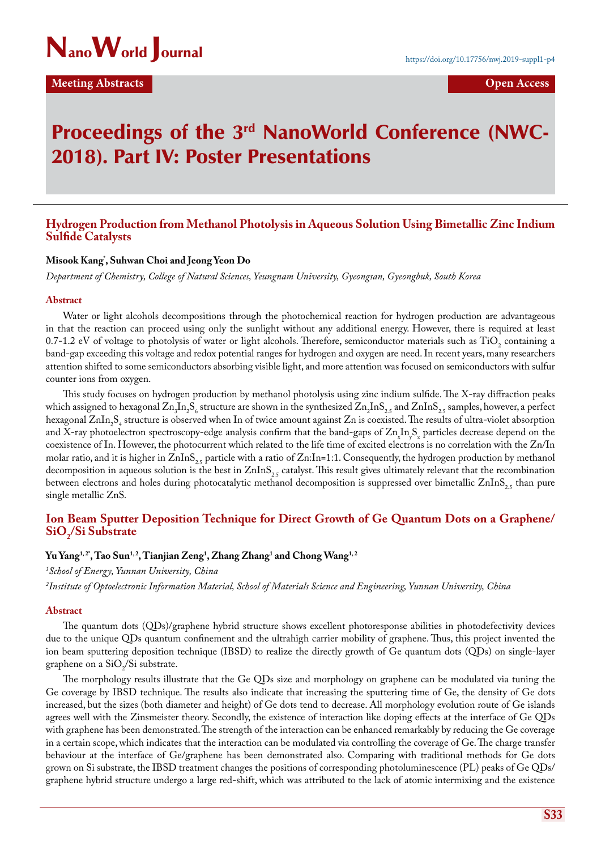

# Proceedings of the 3rd NanoWorld Conference (NWC-2018). Part IV: Poster Presentations

### **Hydrogen Production from Methanol Photolysis in Aqueous Solution Using Bimetallic Zinc Indium Sulfide Catalysts**

### **Misook Kang\* , Suhwan Choi and Jeong Yeon Do**

*Department of Chemistry, College of Natural Sciences, Yeungnam University, Gyeongsan, Gyeongbuk, South Korea*

#### **Abstract**

Water or light alcohols decompositions through the photochemical reaction for hydrogen production are advantageous in that the reaction can proceed using only the sunlight without any additional energy. However, there is required at least  $0.7$ -1.2 eV of voltage to photolysis of water or light alcohols. Therefore, semiconductor materials such as  $11O<sub>2</sub>$  containing a band-gap exceeding this voltage and redox potential ranges for hydrogen and oxygen are need. In recent years, many researchers attention shifted to some semiconductors absorbing visible light, and more attention was focused on semiconductors with sulfur counter ions from oxygen.

This study focuses on hydrogen production by methanol photolysis using zinc indium sulfide. The X-ray diffraction peaks which assigned to hexagonal  $\text{Zn}_3 \text{ln}_2 \text{S}_6$  structure are shown in the synthesized  $\text{Zn}_2 \text{ln} \text{S}_{2,5}$  and  $\text{Znln} \text{S}_{2,5}$  samples, however, a perfect hexagonal ZnIn<sub>2</sub>S<sub>4</sub> structure is observed when In of twice amount against Zn is coexisted. The results of ultra-violet absorption and X-ray photoelectron spectroscopy-edge analysis confirm that the band-gaps of  $\text{Zn}_{x} \ln_{y} S_{z}$  particles decrease depend on the coexistence of In. However, the photocurrent which related to the life time of excited electrons is no correlation with the Zn/In molar ratio, and it is higher in  $ZnIns_{2,5}$  particle with a ratio of  $Zn:In=1:1$ . Consequently, the hydrogen production by methanol decomposition in aqueous solution is the best in  $ZnInS_{25}$  catalyst. This result gives ultimately relevant that the recombination between electrons and holes during photocatalytic methanol decomposition is suppressed over bimetallic  $ZnInS_{2.5}$  than pure single metallic ZnS.

## **Ion Beam Sputter Deposition Technique for Direct Growth of Ge Quantum Dots on a Graphene/ SiO2 /Si Substrate**

### **Yu Yang1, 2\*, Tao Sun1, 2, Tianjian Zeng1 , Zhang Zhang1 and Chong Wang1, 2**

*1 School of Energy, Yunnan University, China*

*2 Institute of Optoelectronic Information Material, School of Materials Science and Engineering, Yunnan University, China*

#### **Abstract**

The quantum dots (QDs)/graphene hybrid structure shows excellent photoresponse abilities in photodefectivity devices due to the unique QDs quantum confinement and the ultrahigh carrier mobility of graphene. Thus, this project invented the ion beam sputtering deposition technique (IBSD) to realize the directly growth of Ge quantum dots (QDs) on single-layer graphene on a  $\text{SiO}_2/\text{Si}$  substrate.

The morphology results illustrate that the Ge QDs size and morphology on graphene can be modulated via tuning the Ge coverage by IBSD technique. The results also indicate that increasing the sputtering time of Ge, the density of Ge dots increased, but the sizes (both diameter and height) of Ge dots tend to decrease. All morphology evolution route of Ge islands agrees well with the Zinsmeister theory. Secondly, the existence of interaction like doping effects at the interface of Ge QDs with graphene has been demonstrated. The strength of the interaction can be enhanced remarkably by reducing the Ge coverage in a certain scope, which indicates that the interaction can be modulated via controlling the coverage of Ge. The charge transfer behaviour at the interface of Ge/graphene has been demonstrated also. Comparing with traditional methods for Ge dots grown on Si substrate, the IBSD treatment changes the positions of corresponding photoluminescence (PL) peaks of Ge QDs/ graphene hybrid structure undergo a large red-shift, which was attributed to the lack of atomic intermixing and the existence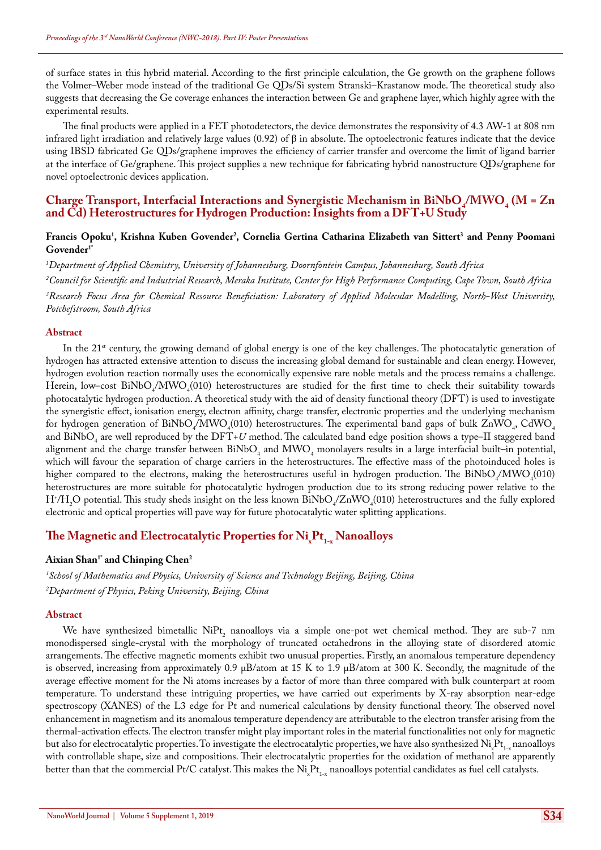of surface states in this hybrid material. According to the first principle calculation, the Ge growth on the graphene follows the Volmer–Weber mode instead of the traditional Ge QDs/Si system Stranski–Krastanow mode. The theoretical study also suggests that decreasing the Ge coverage enhances the interaction between Ge and graphene layer, which highly agree with the experimental results.

The final products were applied in a FET photodetectors, the device demonstrates the responsivity of 4.3 AW-1 at 808 nm infrared light irradiation and relatively large values (0.92) of β in absolute. The optoelectronic features indicate that the device using IBSD fabricated Ge QDs/graphene improves the efficiency of carrier transfer and overcome the limit of ligand barrier at the interface of Ge/graphene. This project supplies a new technique for fabricating hybrid nanostructure QDs/graphene for novel optoelectronic devices application.

### **Charge Transport, Interfacial Interactions and Synergistic Mechanism in BiNbO<sub>4</sub>/MWO<sub>4</sub> (M = Zn <sub>1</sub>) and Cd) Heterostructures for Hydrogen Production: Insights from a DFT+U Study**

### Francis Opoku<sup>1</sup>, Krishna Kuben Govender<sup>2</sup>, Cornelia Gertina Catharina Elizabeth van Sittert<sup>3</sup> and Penny Poomani **Govender1\***

*1 Department of Applied Chemistry, University of Johannesburg, Doornfontein Campus, Johannesburg, South Africa*

*2 Council for Scientific and Industrial Research, Meraka Institute, Center for High Performance Computing, Cape Town, South Africa 3 Research Focus Area for Chemical Resource Beneficiation: Laboratory of Applied Molecular Modelling, North-West University, Potchefstroom, South Africa*

#### **Abstract**

In the  $21^{st}$  century, the growing demand of global energy is one of the key challenges. The photocatalytic generation of hydrogen has attracted extensive attention to discuss the increasing global demand for sustainable and clean energy. However, hydrogen evolution reaction normally uses the economically expensive rare noble metals and the process remains a challenge. Herein, low–cost  $\frac{BINbO_4/MWO_4(010)}{MWO}$  heterostructures are studied for the first time to check their suitability towards photocatalytic hydrogen production. A theoretical study with the aid of density functional theory (DFT) is used to investigate the synergistic effect, ionisation energy, electron affinity, charge transfer, electronic properties and the underlying mechanism for hydrogen generation of  $\frac{BINbO_4/MWO_4(010)}{P}$  heterostructures. The experimental band gaps of bulk  $ZnWO_4$ , CdWO<sub>4</sub> and  $\frac{BINbO_4}{4}$  are well reproduced by the  $DFI+U$  method. The calculated band edge position shows a type–II staggered band alignment and the charge transfer between  $BiNbO<sub>4</sub>$  and  $MWO<sub>4</sub>$  monolayers results in a large interfacial built–in potential, which will favour the separation of charge carriers in the heterostructures. The effective mass of the photoinduced holes is higher compared to the electrons, making the heterostructures useful in hydrogen production. The  $\text{BiNbO}_4/\text{MWO}_4(010)$ heterostructures are more suitable for photocatalytic hydrogen production due to its strong reducing power relative to the  $\rm H^*/H_2O$  potential. This study sheds insight on the less known  $\rm BiNbO_4/ZnWO_4(010)$  heterostructures and the fully explored electronic and optical properties will pave way for future photocatalytic water splitting applications.

# The Magnetic and Electrocatalytic Properties for  $N$ i<sub>x</sub>Pt<sub>1-x</sub> Nanoalloys

#### Aixian Shan<sup>1\*</sup> and Chinping Chen<sup>2</sup>

*1 School of Mathematics and Physics, University of Science and Technology Beijing, Beijing, China 2 Department of Physics, Peking University, Beijing, China*

#### **Abstract**

We have synthesized bimetallic  $NiPt_2$  nanoalloys via a simple one-pot wet chemical method. They are sub-7 nm monodispersed single-crystal with the morphology of truncated octahedrons in the alloying state of disordered atomic arrangements. The effective magnetic moments exhibit two unusual properties. Firstly, an anomalous temperature dependency is observed, increasing from approximately 0.9  $\mu$ B/atom at 15 K to 1.9  $\mu$ B/atom at 300 K. Secondly, the magnitude of the average effective moment for the Ni atoms increases by a factor of more than three compared with bulk counterpart at room temperature. To understand these intriguing properties, we have carried out experiments by X-ray absorption near-edge spectroscopy (XANES) of the L3 edge for Pt and numerical calculations by density functional theory. The observed novel enhancement in magnetism and its anomalous temperature dependency are attributable to the electron transfer arising from the thermal-activation effects. The electron transfer might play important roles in the material functionalities not only for magnetic but also for electrocatalytic properties. To investigate the electrocatalytic properties, we have also synthesized  $\mathrm{Ni_{x}Pt_{1-x}}$ nanoalloys with controllable shape, size and compositions. Their electrocatalytic properties for the oxidation of methanol are apparently better than that the commercial Pt/C catalyst. This makes the  $\rm Ni_{x}Pt_{1\hbox{-}x}$  nanoalloys potential candidates as fuel cell catalysts.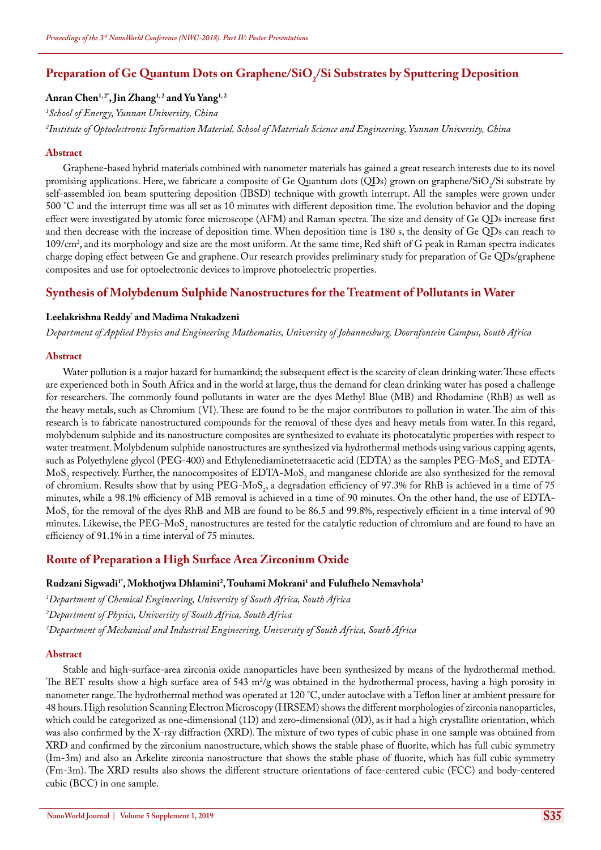# Preparation of Ge Quantum Dots on Graphene/SiO<sub>2</sub>/Si Substrates by Sputtering Deposition

### Anran Chen<sup>1,2\*</sup>, Jin Zhang<sup>1,2</sup> and Yu Yang<sup>1,2</sup>

*1 School of Energy, Yunnan University, China*

*2 Institute of Optoelectronic Information Material, School of Materials Science and Engineering, Yunnan University, China*

#### **Abstract**

Graphene-based hybrid materials combined with nanometer materials has gained a great research interests due to its novel promising applications. Here, we fabricate a composite of Ge Quantum dots (QDs) grown on graphene/SiO<sub>2</sub>/Si substrate by self-assembled ion beam sputtering deposition (IBSD) technique with growth interrupt. All the samples were grown under 500 °C and the interrupt time was all set as 10 minutes with different deposition time. The evolution behavior and the doping effect were investigated by atomic force microscope (AFM) and Raman spectra. The size and density of Ge QDs increase first and then decrease with the increase of deposition time. When deposition time is 180 s, the density of Ge QDs can reach to 109/cm2 , and its morphology and size are the most uniform. At the same time, Red shift of G peak in Raman spectra indicates charge doping effect between Ge and graphene. Our research provides preliminary study for preparation of Ge QDs/graphene composites and use for optoelectronic devices to improve photoelectric properties.

### **Synthesis of Molybdenum Sulphide Nanostructures for the Treatment of Pollutants in Water**

### **Leelakrishna Reddy\* and Madima Ntakadzeni**

*Department of Applied Physics and Engineering Mathematics, University of Johannesburg, Doornfontein Campus, South Africa*

#### **Abstract**

Water pollution is a major hazard for humankind; the subsequent effect is the scarcity of clean drinking water. These effects are experienced both in South Africa and in the world at large, thus the demand for clean drinking water has posed a challenge for researchers. The commonly found pollutants in water are the dyes Methyl Blue (MB) and Rhodamine (RhB) as well as the heavy metals, such as Chromium (VI). These are found to be the major contributors to pollution in water. The aim of this research is to fabricate nanostructured compounds for the removal of these dyes and heavy metals from water. In this regard, molybdenum sulphide and its nanostructure composites are synthesized to evaluate its photocatalytic properties with respect to water treatment. Molybdenum sulphide nanostructures are synthesized via hydrothermal methods using various capping agents, such as Polyethylene glycol (PEG-400) and Ethylenediaminetetraacetic acid (EDTA) as the samples PEG-MoS<sub>2</sub> and EDTA- $M$ o $S_2$  respectively. Further, the nanocomposites of EDTA-Mo $S_2$  and manganese chloride are also synthesized for the removal of chromium. Results show that by using PEG-MoS<sub>2</sub>, a degradation efficiency of 97.3% for RhB is achieved in a time of 75 minutes, while a 98.1% efficiency of MB removal is achieved in a time of 90 minutes. On the other hand, the use of EDTA- $M$ oS<sub>2</sub> for the removal of the dyes RhB and MB are found to be 86.5 and 99.8%, respectively efficient in a time interval of 90 minutes. Likewise, the PEG-MoS<sub>2</sub> nanostructures are tested for the catalytic reduction of chromium and are found to have an efficiency of 91.1% in a time interval of 75 minutes.

### **Route of Preparation a High Surface Area Zirconium Oxide**

### **Rudzani Sigwadi1\*, Mokhotjwa Dhlamini2 , Touhami Mokrani1 and Fulufhelo Nemavhola3**

*1 Department of Chemical Engineering, University of South Africa, South Africa*

*2 Department of Physics, University of South Africa, South Africa*

*3 Department of Mechanical and Industrial Engineering, University of South Africa, South Africa*

#### **Abstract**

Stable and high-surface-area zirconia oxide nanoparticles have been synthesized by means of the hydrothermal method. The BET results show a high surface area of 543 m<sup>2</sup>/g was obtained in the hydrothermal process, having a high porosity in nanometer range. The hydrothermal method was operated at 120 °C, under autoclave with a Teflon liner at ambient pressure for 48 hours. High resolution Scanning Electron Microscopy (HRSEM) shows the different morphologies of zirconia nanoparticles, which could be categorized as one-dimensional (1D) and zero-dimensional (0D), as it had a high crystallite orientation, which was also confirmed by the X-ray diffraction (XRD). The mixture of two types of cubic phase in one sample was obtained from XRD and confirmed by the zirconium nanostructure, which shows the stable phase of fluorite, which has full cubic symmetry (Im-3m) and also an Arkelite zirconia nanostructure that shows the stable phase of fluorite, which has full cubic symmetry (Fm-3m). The XRD results also shows the different structure orientations of face-centered cubic (FCC) and body-centered cubic (BCC) in one sample.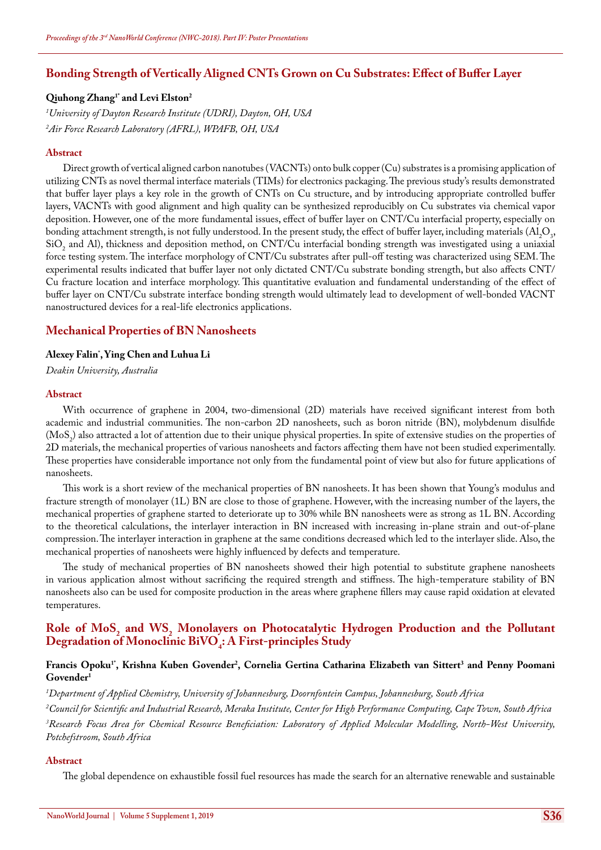### **Bonding Strength of Vertically Aligned CNTs Grown on Cu Substrates: Effect of Buffer Layer**

### **Qiuhong Zhang1\* and Levi Elston2**

*1 University of Dayton Research Institute (UDRI), Dayton, OH, USA 2 Air Force Research Laboratory (AFRL), WPAFB, OH, USA*

#### **Abstract**

Direct growth of vertical aligned carbon nanotubes (VACNTs) onto bulk copper (Cu) substrates is a promising application of utilizing CNTs as novel thermal interface materials (TIMs) for electronics packaging. The previous study's results demonstrated that buffer layer plays a key role in the growth of CNTs on Cu structure, and by introducing appropriate controlled buffer layers, VACNTs with good alignment and high quality can be synthesized reproducibly on Cu substrates via chemical vapor deposition. However, one of the more fundamental issues, effect of buffer layer on CNT/Cu interfacial property, especially on bonding attachment strength, is not fully understood. In the present study, the effect of buffer layer, including materials (Al<sub>2</sub>O<sub>3</sub>,  $\text{SiO}_2$  and Al), thickness and deposition method, on CNT/Cu interfacial bonding strength was investigated using a uniaxial force testing system. The interface morphology of CNT/Cu substrates after pull-off testing was characterized using SEM. The experimental results indicated that buffer layer not only dictated CNT/Cu substrate bonding strength, but also affects CNT/ Cu fracture location and interface morphology. This quantitative evaluation and fundamental understanding of the effect of buffer layer on CNT/Cu substrate interface bonding strength would ultimately lead to development of well-bonded VACNT nanostructured devices for a real-life electronics applications.

### **Mechanical Properties of BN Nanosheets**

### **Alexey Falin\* , Ying Chen and Luhua Li**

*Deakin University, Australia*

#### **Abstract**

With occurrence of graphene in 2004, two-dimensional (2D) materials have received significant interest from both academic and industrial communities. The non-carbon 2D nanosheets, such as boron nitride (BN), molybdenum disulfide (MoS<sub>2</sub>) also attracted a lot of attention due to their unique physical properties. In spite of extensive studies on the properties of 2D materials, the mechanical properties of various nanosheets and factors affecting them have not been studied experimentally. These properties have considerable importance not only from the fundamental point of view but also for future applications of nanosheets.

This work is a short review of the mechanical properties of BN nanosheets. It has been shown that Young's modulus and fracture strength of monolayer (1L) BN are close to those of graphene. However, with the increasing number of the layers, the mechanical properties of graphene started to deteriorate up to 30% while BN nanosheets were as strong as 1L BN. According to the theoretical calculations, the interlayer interaction in BN increased with increasing in-plane strain and out-of-plane compression. The interlayer interaction in graphene at the same conditions decreased which led to the interlayer slide. Also, the mechanical properties of nanosheets were highly influenced by defects and temperature.

The study of mechanical properties of BN nanosheets showed their high potential to substitute graphene nanosheets in various application almost without sacrificing the required strength and stiffness. The high-temperature stability of BN nanosheets also can be used for composite production in the areas where graphene fillers may cause rapid oxidation at elevated temperatures.

# Role of MoS<sub>2</sub> and WS<sub>2</sub> Monolayers on Photocatalytic Hydrogen Production and the Pollutant  $\bf D$ egradation of Monoclinic BiVO<sub>4</sub>: A First-principles Study

### Francis Opoku<sup>1</sup>', Krishna Kuben Govender<sup>2</sup>, Cornelia Gertina Catharina Elizabeth van Sittert<sup>3</sup> and Penny Poomani **Govender1**

*1 Department of Applied Chemistry, University of Johannesburg, Doornfontein Campus, Johannesburg, South Africa*

*2 Council for Scientific and Industrial Research, Meraka Institute, Center for High Performance Computing, Cape Town, South Africa 3 Research Focus Area for Chemical Resource Beneficiation: Laboratory of Applied Molecular Modelling, North-West University, Potchefstroom, South Africa*

#### **Abstract**

The global dependence on exhaustible fossil fuel resources has made the search for an alternative renewable and sustainable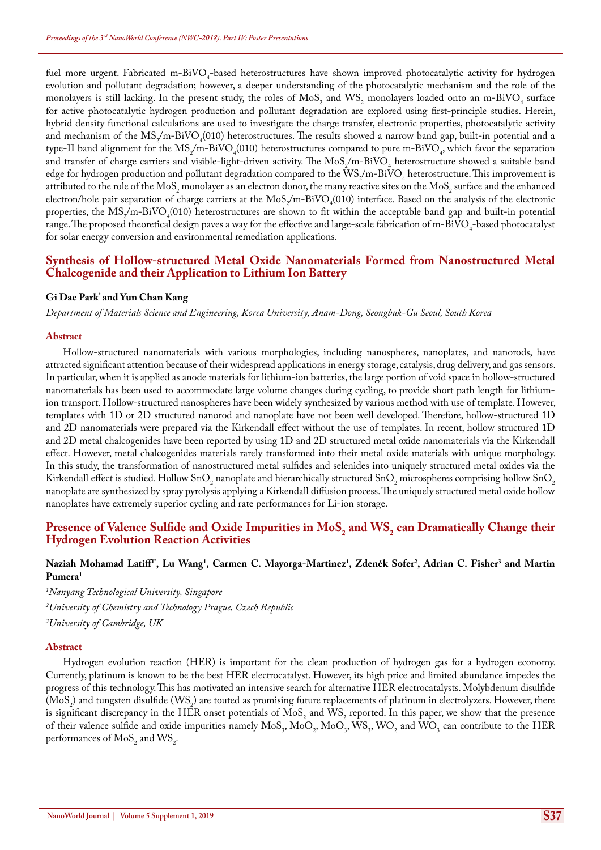fuel more urgent. Fabricated m-BiVO<sub>4</sub>-based heterostructures have shown improved photocatalytic activity for hydrogen evolution and pollutant degradation; however, a deeper understanding of the photocatalytic mechanism and the role of the monolayers is still lacking. In the present study, the roles of  $MoS<sub>2</sub>$  and  $WS<sub>2</sub>$  monolayers loaded onto an m-BiVO<sub>4</sub> surface for active photocatalytic hydrogen production and pollutant degradation are explored using first-principle studies. Herein, hybrid density functional calculations are used to investigate the charge transfer, electronic properties, photocatalytic activity and mechanism of the  $MS_2/m-BiVO_4(010)$  heterostructures. The results showed a narrow band gap, built-in potential and a type-II band alignment for the  $MS_2/m$ -BiVO<sub>4</sub>(010) heterostructures compared to pure m-BiVO<sub>4</sub>, which favor the separation and transfer of charge carriers and visible-light-driven activity. The  $MoS_2/m-BiVO_4$  heterostructure showed a suitable band edge for hydrogen production and pollutant degradation compared to the  $\text{WS}_2/\text{m-Bi}\text{VO}_4$  heterostructure. This improvement is attributed to the role of the MoS<sub>2</sub> monolayer as an electron donor, the many reactive sites on the MoS<sub>2</sub> surface and the enhanced electron/hole pair separation of charge carriers at the  $MoS_2/m-BiVO_4(010)$  interface. Based on the analysis of the electronic properties, the  $MS_2/m-BiVO_4(010)$  heterostructures are shown to fit within the acceptable band gap and built-in potential range. The proposed theoretical design paves a way for the effective and large-scale fabrication of m-BiVO<sub>4</sub>-based photocatalyst for solar energy conversion and environmental remediation applications.

### **Synthesis of Hollow-structured Metal Oxide Nanomaterials Formed from Nanostructured Metal Chalcogenide and their Application to Lithium Ion Battery**

### **Gi Dae Park\* and Yun Chan Kang**

*Department of Materials Science and Engineering, Korea University, Anam-Dong, Seongbuk-Gu Seoul, South Korea*

#### **Abstract**

Hollow-structured nanomaterials with various morphologies, including nanospheres, nanoplates, and nanorods, have attracted significant attention because of their widespread applications in energy storage, catalysis, drug delivery, and gas sensors. In particular, when it is applied as anode materials for lithium-ion batteries, the large portion of void space in hollow-structured nanomaterials has been used to accommodate large volume changes during cycling, to provide short path length for lithiumion transport. Hollow-structured nanospheres have been widely synthesized by various method with use of template. However, templates with 1D or 2D structured nanorod and nanoplate have not been well developed. Therefore, hollow-structured 1D and 2D nanomaterials were prepared via the Kirkendall effect without the use of templates. In recent, hollow structured 1D and 2D metal chalcogenides have been reported by using 1D and 2D structured metal oxide nanomaterials via the Kirkendall effect. However, metal chalcogenides materials rarely transformed into their metal oxide materials with unique morphology. In this study, the transformation of nanostructured metal sulfides and selenides into uniquely structured metal oxides via the Kirkendall effect is studied. Hollow SnO<sub>2</sub> nanoplate and hierarchically structured SnO<sub>2</sub> microspheres comprising hollow SnO<sub>2</sub> nanoplate are synthesized by spray pyrolysis applying a Kirkendall diffusion process. The uniquely structured metal oxide hollow nanoplates have extremely superior cycling and rate performances for Li-ion storage.

### **Presence of Valence Sulfide and Oxide Impurities in MoS<sub>2</sub> and WS<sub>2</sub> can Dramatically Change their <br>
Health in Replace their decision of the contract of the contract of the contract of the contract of the contract of the Hydrogen Evolution Reaction Activities**

#### Naziah Mohamad Latiff<sup>1</sup>", Lu Wang<sup>1</sup>, Carmen C. Mayorga-Martinez<sup>1</sup>, Zdeněk Sofer<sup>2</sup>, Adrian C. Fisher<sup>3</sup> and Martin **Pumera1**

*1 Nanyang Technological University, Singapore 2 University of Chemistry and Technology Prague, Czech Republic*

*3 University of Cambridge, UK*

#### **Abstract**

Hydrogen evolution reaction (HER) is important for the clean production of hydrogen gas for a hydrogen economy. Currently, platinum is known to be the best HER electrocatalyst. However, its high price and limited abundance impedes the progress of this technology. This has motivated an intensive search for alternative HER electrocatalysts. Molybdenum disulfide (MoS<sub>2</sub>) and tungsten disulfide (WS<sub>2</sub>) are touted as promising future replacements of platinum in electrolyzers. However, there is significant discrepancy in the HER onset potentials of  $MoS_2$  and  $WS_2$  reported. In this paper, we show that the presence of their valence sulfide and oxide impurities namely  $MoS_3$ ,  $MoO_2$ ,  $MoS_3$ ,  $WO_2$  and  $WO_3$  can contribute to the HER performances of  $MoS_2$  and  $WS_2$ .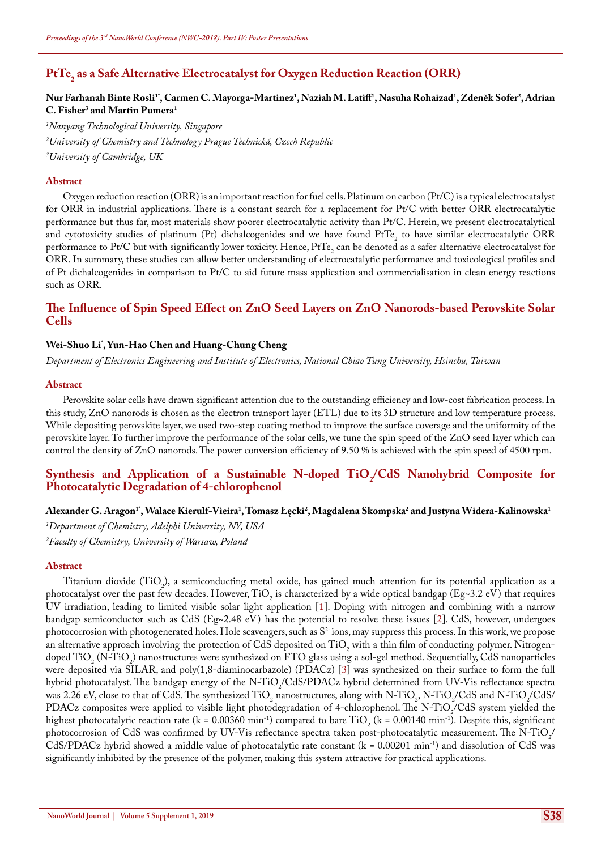# **PtTe2 as a Safe Alternative Electrocatalyst for Oxygen Reduction Reaction (ORR)**

### $N$ ur Farhanah Binte Rosli<sup>1</sup>', Carmen C. Mayorga-Martinez<sup>1</sup>, Naziah M. Latiff<sup>1</sup>, Nasuha Rohaizad<sup>1</sup>, Zdeněk Sofer<sup>2</sup>, Adrian **C. Fisher3 and Martin Pumera1**

*1 Nanyang Technological University, Singapore 2 University of Chemistry and Technology Prague Technická, Czech Republic 3 University of Cambridge, UK*

#### **Abstract**

Oxygen reduction reaction (ORR) is an important reaction for fuel cells. Platinum on carbon (Pt/C) is a typical electrocatalyst for ORR in industrial applications. There is a constant search for a replacement for Pt/C with better ORR electrocatalytic performance but thus far, most materials show poorer electrocatalytic activity than Pt/C. Herein, we present electrocatalytical and cytotoxicity studies of platinum (Pt) dichalcogenides and we have found  $PfIe_2$  to have similar electrocatalytic ORR performance to Pt/C but with significantly lower toxicity. Hence, PtTe<sub>2</sub> can be denoted as a safer alternative electrocatalyst for ORR. In summary, these studies can allow better understanding of electrocatalytic performance and toxicological profiles and of Pt dichalcogenides in comparison to Pt/C to aid future mass application and commercialisation in clean energy reactions such as ORR.

### **The Influence of Spin Speed Effect on ZnO Seed Layers on ZnO Nanorods-based Perovskite Solar Cells**

### **Wei-Shuo Li\* , Yun-Hao Chen and Huang-Chung Cheng**

*Department of Electronics Engineering and Institute of Electronics, National Chiao Tung University, Hsinchu, Taiwan*

#### **Abstract**

Perovskite solar cells have drawn significant attention due to the outstanding efficiency and low-cost fabrication process. In this study, ZnO nanorods is chosen as the electron transport layer (ETL) due to its 3D structure and low temperature process. While depositing perovskite layer, we used two-step coating method to improve the surface coverage and the uniformity of the perovskite layer. To further improve the performance of the solar cells, we tune the spin speed of the ZnO seed layer which can control the density of ZnO nanorods. The power conversion efficiency of 9.50 % is achieved with the spin speed of 4500 rpm.

### Synthesis and Application of a Sustainable N-doped TiO<sub>2</sub>/CdS Nanohybrid Composite for **Photocatalytic Degradation of 4-chlorophenol**

### Alexander G. Aragon<sup>1</sup>', Walace Kierulf-Vieira<sup>1</sup>, Tomasz Łęcki<sup>2</sup>, Magdalena Skompska<sup>2</sup> and Justyna Widera-Kalinowska<sup>1</sup>

*1 Department of Chemistry, Adelphi University, NY, USA 2 Faculty of Chemistry, University of Warsaw, Poland*

#### **Abstract**

Titanium dioxide  $(TiO_2)$ , a semiconducting metal oxide, has gained much attention for its potential application as a photocatalyst over the past few decades. However,  $11O_2$  is characterized by a wide optical bandgap (Eg~3.2 eV) that requires UV irradiation, leading to limited visible solar light application [1]. Doping with nitrogen and combining with a narrow bandgap semiconductor such as CdS ( $Eg\sim 2.48$  eV) has the potential to resolve these issues [2]. CdS, however, undergoes photocorrosion with photogenerated holes. Hole scavengers, such as  $S<sup>2</sup>$  ions, may suppress this process. In this work, we propose an alternative approach involving the protection of CdS deposited on  $\text{TiO}_2$  with a thin film of conducting polymer. Nitrogendoped TiO<sub>2</sub> (N-TiO<sub>2</sub>) nanostructures were synthesized on FTO glass using a sol-gel method. Sequentially, CdS nanoparticles were deposited via SILAR, and poly(1,8-diaminocarbazole) (PDACz) [3] was synthesized on their surface to form the full hybrid photocatalyst. The bandgap energy of the N-TiO<sub>2</sub>/CdS/PDACz hybrid determined from UV-Vis reflectance spectra was 2.26 eV, close to that of CdS. The synthesized TiO<sub>2</sub> nanostructures, along with N-TiO<sub>2</sub>, N-TiO<sub>2</sub>/CdS and N-TiO<sub>2</sub>/CdS/ PDACz composites were applied to visible light photodegradation of 4-chlorophenol. The N-TiO<sub>2</sub>/CdS system yielded the highest photocatalytic reaction rate (k = 0.00360 min<sup>-1</sup>) compared to bare TiO<sub>2</sub> (k = 0.00140 min<sup>-1</sup>). Despite this, significant photocorrosion of CdS was confirmed by UV-V is reflectance spectra taken post-photocatalytic measurement. The N-TiO<sub>2</sub>/ CdS/PDACz hybrid showed a middle value of photocatalytic rate constant ( $k = 0.00201 \text{ min}^{-1}$ ) and dissolution of CdS was significantly inhibited by the presence of the polymer, making this system attractive for practical applications.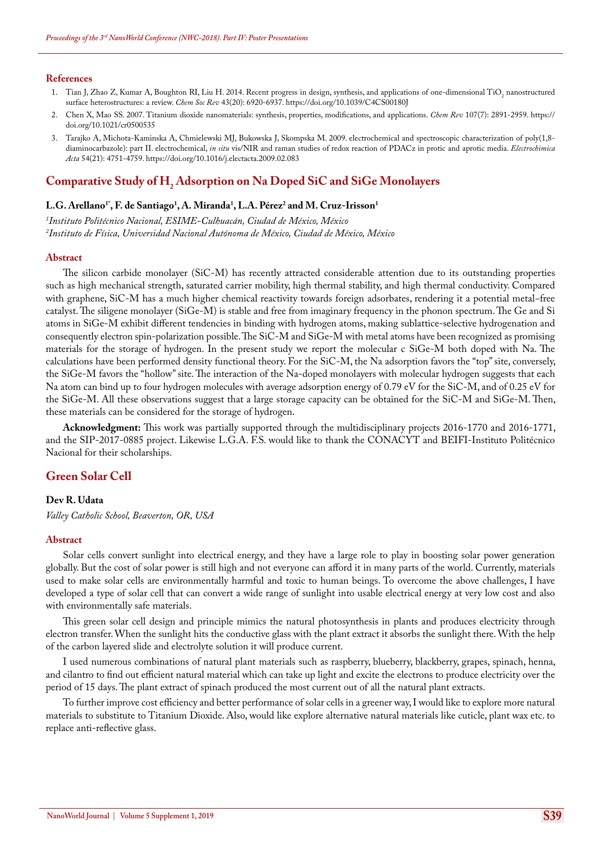#### **References**

- 1. Tian J, Zhao Z, Kumar A, Boughton RI, Liu H. 2014. Recent progress in design, synthesis, and applications of one-dimensional TiO<sub>2</sub> nanostructured [surface heterostructures: a review.](https://www.ncbi.nlm.nih.gov/pubmed/25014328) *Chem Soc Rev* 43(20): 6920-6937. <https://doi.org/10.1039/C4CS00180J>
- 2. [Chen X, Mao SS. 2007. Titanium dioxide nanomaterials: synthesis, properties, modifications, and applications.](https://www.ncbi.nlm.nih.gov/pubmed/17590053) *Chem Rev* 107(7): 2891-2959. [https://](https://doi.org/10.1021/cr0500535) [doi.org/10.1021/cr0500535](https://doi.org/10.1021/cr0500535)
- 3. [Tarajko A, Michota-Kaminska A, Chmielewski MJ, Bukowska J, Skompska M. 2009. electrochemical and spectroscopic characterization of poly\(1,8](https://www.sciencedirect.com/science/article/pii/S0013468609003454) diaminocarbazole): part II. electrochemical, *in situ* [vis/NIR and raman studies of redox reaction of PDACz in protic and aprotic media.](https://www.sciencedirect.com/science/article/pii/S0013468609003454) *Electrochimica Acta* [54\(21\): 4751-4759.](https://www.sciencedirect.com/science/article/pii/S0013468609003454) <https://doi.org/10.1016/j.electacta.2009.02.083>

# **Comparative Study of H2 Adsorption on Na Doped SiC and SiGe Monolayers**

### $\mathbf{L}.\mathbf{G}.\mathbf{A}$ rellano<sup>1</sup>', F. de Santiago<sup>1</sup>, A. Miranda<sup>1</sup>, L.A. Pérez<sup>2</sup> and M. Cruz-Irisson<sup>1</sup>

*1 Instituto Politécnico Nacional, ESIME-Culhuacán, Ciudad de México, México 2 Instituto de Física, Universidad Nacional Autónoma de México, Ciudad de México, México*

#### **Abstract**

The silicon carbide monolayer (SiC-M) has recently attracted considerable attention due to its outstanding properties such as high mechanical strength, saturated carrier mobility, high thermal stability, and high thermal conductivity. Compared with graphene, SiC-M has a much higher chemical reactivity towards foreign adsorbates, rendering it a potential metal−free catalyst. The siligene monolayer (SiGe-M) is stable and free from imaginary frequency in the phonon spectrum. The Ge and Si atoms in SiGe-M exhibit different tendencies in binding with hydrogen atoms, making sublattice-selective hydrogenation and consequently electron spin-polarization possible. The SiC-M and SiGe-M with metal atoms have been recognized as promising materials for the storage of hydrogen. In the present study we report the molecular c SiGe-M both doped with Na. The calculations have been performed density functional theory. For the SiC-M, the Na adsorption favors the "top" site, conversely, the SiGe-M favors the "hollow" site. The interaction of the Na-doped monolayers with molecular hydrogen suggests that each Na atom can bind up to four hydrogen molecules with average adsorption energy of 0.79 eV for the SiC-M, and of 0.25 eV for the SiGe-M. All these observations suggest that a large storage capacity can be obtained for the SiC-M and SiGe-M. Then, these materials can be considered for the storage of hydrogen.

**Acknowledgment:** This work was partially supported through the multidisciplinary projects 2016-1770 and 2016-1771, and the SIP-2017-0885 project. Likewise L.G.A. F.S. would like to thank the CONACYT and BEIFI-Instituto Politécnico Nacional for their scholarships.

### **Green Solar Cell**

#### **Dev R. Udata**

*Valley Catholic School, Beaverton, OR, USA*

#### **Abstract**

Solar cells convert sunlight into electrical energy, and they have a large role to play in boosting solar power generation globally. But the cost of solar power is still high and not everyone can afford it in many parts of the world. Currently, materials used to make solar cells are environmentally harmful and toxic to human beings. To overcome the above challenges, I have developed a type of solar cell that can convert a wide range of sunlight into usable electrical energy at very low cost and also with environmentally safe materials.

This green solar cell design and principle mimics the natural photosynthesis in plants and produces electricity through electron transfer. When the sunlight hits the conductive glass with the plant extract it absorbs the sunlight there. With the help of the carbon layered slide and electrolyte solution it will produce current.

I used numerous combinations of natural plant materials such as raspberry, blueberry, blackberry, grapes, spinach, henna, and cilantro to find out efficient natural material which can take up light and excite the electrons to produce electricity over the period of 15 days. The plant extract of spinach produced the most current out of all the natural plant extracts.

To further improve cost efficiency and better performance of solar cells in a greener way, I would like to explore more natural materials to substitute to Titanium Dioxide. Also, would like explore alternative natural materials like cuticle, plant wax etc. to replace anti-reflective glass.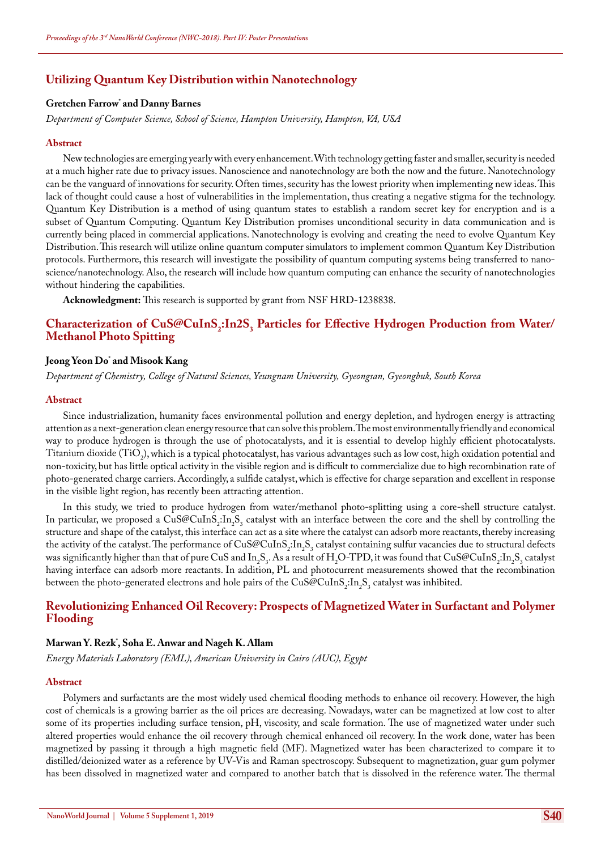### **Utilizing Quantum Key Distribution within Nanotechnology**

### **Gretchen Farrow\* and Danny Barnes**

*Department of Computer Science, School of Science, Hampton University, Hampton, VA, USA*

#### **Abstract**

New technologies are emerging yearly with every enhancement. With technology getting faster and smaller, security is needed at a much higher rate due to privacy issues. Nanoscience and nanotechnology are both the now and the future. Nanotechnology can be the vanguard of innovations for security. Often times, security has the lowest priority when implementing new ideas. This lack of thought could cause a host of vulnerabilities in the implementation, thus creating a negative stigma for the technology. Quantum Key Distribution is a method of using quantum states to establish a random secret key for encryption and is a subset of Quantum Computing. Quantum Key Distribution promises unconditional security in data communication and is currently being placed in commercial applications. Nanotechnology is evolving and creating the need to evolve Quantum Key Distribution. This research will utilize online quantum computer simulators to implement common Quantum Key Distribution protocols. Furthermore, this research will investigate the possibility of quantum computing systems being transferred to nanoscience/nanotechnology. Also, the research will include how quantum computing can enhance the security of nanotechnologies without hindering the capabilities.

**Acknowledgment:** This research is supported by grant from NSF HRD-1238838.

### **Characterization of CuS@CuInS<sub>2</sub>:In2S<sub>3</sub> Particles for Effective Hydrogen Production from Water/ Methanol Photo Spitting**

### **Jeong Yeon Do\* and Misook Kang**

*Department of Chemistry, College of Natural Sciences, Yeungnam University, Gyeongsan, Gyeongbuk, South Korea*

#### **Abstract**

Since industrialization, humanity faces environmental pollution and energy depletion, and hydrogen energy is attracting attention as a next-generation clean energy resource that can solve this problem. The most environmentally friendly and economical way to produce hydrogen is through the use of photocatalysts, and it is essential to develop highly efficient photocatalysts. Titanium dioxide (TiO<sub>2</sub>), which is a typical photocatalyst, has various advantages such as low cost, high oxidation potential and non-toxicity, but has little optical activity in the visible region and is difficult to commercialize due to high recombination rate of photo-generated charge carriers. Accordingly, a sulfide catalyst, which is effective for charge separation and excellent in response in the visible light region, has recently been attracting attention.

In this study, we tried to produce hydrogen from water/methanol photo-splitting using a core-shell structure catalyst. In particular, we proposed a CuS@CuInS<sub>2</sub>:In<sub>2</sub>S<sub>3</sub> catalyst with an interface between the core and the shell by controlling the structure and shape of the catalyst, this interface can act as a site where the catalyst can adsorb more reactants, thereby increasing the activity of the catalyst. The performance of  $CuS@CuInS_2:In_2S_3$  catalyst containing sulfur vacancies due to structural defects was significantly higher than that of pure CuS and In<sub>2</sub>S<sub>3</sub>. As a result of H<sub>2</sub>O-TPD, it was found that CuS@CuInS<sub>2</sub>:In<sub>2</sub>S<sub>3</sub> catalyst having interface can adsorb more reactants. In addition, PL and photocurrent measurements showed that the recombination between the photo-generated electrons and hole pairs of the  $\mathrm{CuS@CuInS}_2\text{:}In_2\text{S}_3$  catalyst was inhibited.

### **Revolutionizing Enhanced Oil Recovery: Prospects of Magnetized Water in Surfactant and Polymer Flooding**

#### **Marwan Y. Rezk\* , Soha E. Anwar and Nageh K. Allam**

*Energy Materials Laboratory (EML), American University in Cairo (AUC), Egypt*

#### **Abstract**

Polymers and surfactants are the most widely used chemical flooding methods to enhance oil recovery. However, the high cost of chemicals is a growing barrier as the oil prices are decreasing. Nowadays, water can be magnetized at low cost to alter some of its properties including surface tension, pH, viscosity, and scale formation. The use of magnetized water under such altered properties would enhance the oil recovery through chemical enhanced oil recovery. In the work done, water has been magnetized by passing it through a high magnetic field (MF). Magnetized water has been characterized to compare it to distilled/deionized water as a reference by UV-Vis and Raman spectroscopy. Subsequent to magnetization, guar gum polymer has been dissolved in magnetized water and compared to another batch that is dissolved in the reference water. The thermal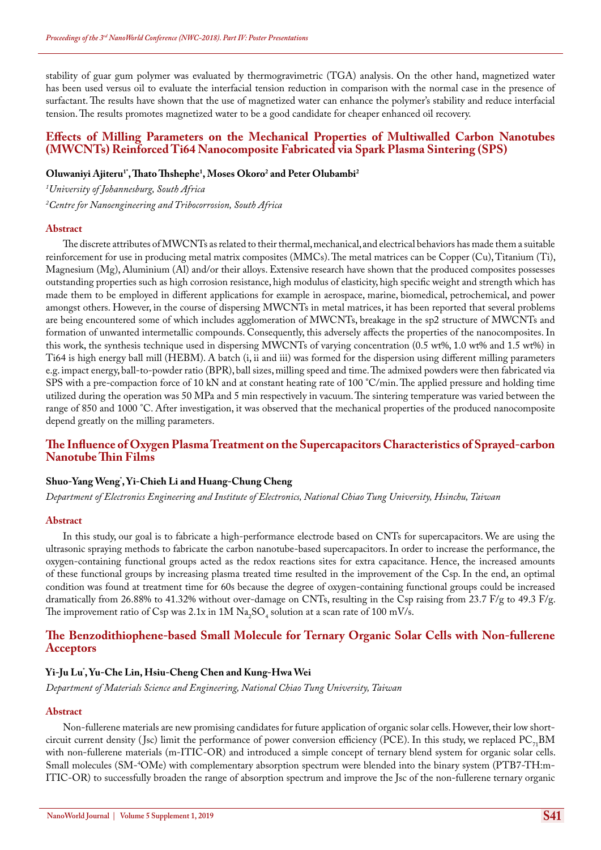stability of guar gum polymer was evaluated by thermogravimetric (TGA) analysis. On the other hand, magnetized water has been used versus oil to evaluate the interfacial tension reduction in comparison with the normal case in the presence of surfactant. The results have shown that the use of magnetized water can enhance the polymer's stability and reduce interfacial tension. The results promotes magnetized water to be a good candidate for cheaper enhanced oil recovery.

### **Effects of Milling Parameters on the Mechanical Properties of Multiwalled Carbon Nanotubes (MWCNTs) Reinforced Ti64 Nanocomposite Fabricated via Spark Plasma Sintering (SPS)**

### **Oluwaniyi Ajiteru1\*, Thato Thshephe1 , Moses Okoro2 and Peter Olubambi2**

*1 University of Johannesburg, South Africa 2 Centre for Nanoengineering and Tribocorrosion, South Africa*

#### **Abstract**

The discrete attributes of MWCNTs as related to their thermal, mechanical, and electrical behaviors has made them a suitable reinforcement for use in producing metal matrix composites (MMCs). The metal matrices can be Copper (Cu), Titanium (Ti), Magnesium (Mg), Aluminium (Al) and/or their alloys. Extensive research have shown that the produced composites possesses outstanding properties such as high corrosion resistance, high modulus of elasticity, high specific weight and strength which has made them to be employed in different applications for example in aerospace, marine, biomedical, petrochemical, and power amongst others. However, in the course of dispersing MWCNTs in metal matrices, it has been reported that several problems are being encountered some of which includes agglomeration of MWCNTs, breakage in the sp2 structure of MWCNTs and formation of unwanted intermetallic compounds. Consequently, this adversely affects the properties of the nanocomposites. In this work, the synthesis technique used in dispersing MWCNTs of varying concentration (0.5 wt%, 1.0 wt% and 1.5 wt%) in Ti64 is high energy ball mill (HEBM). A batch (i, ii and iii) was formed for the dispersion using different milling parameters e.g. impact energy, ball-to-powder ratio (BPR), ball sizes, milling speed and time. The admixed powders were then fabricated via SPS with a pre-compaction force of 10 kN and at constant heating rate of 100 °C/min. The applied pressure and holding time utilized during the operation was 50 MPa and 5 min respectively in vacuum. The sintering temperature was varied between the range of 850 and 1000 °C. After investigation, it was observed that the mechanical properties of the produced nanocomposite depend greatly on the milling parameters.

### **The Influence of Oxygen Plasma Treatment on the Supercapacitors Characteristics of Sprayed-carbon Nanotube Thin Films**

### **Shuo-Yang Weng\* , Yi-Chieh Li and Huang-Chung Cheng**

*Department of Electronics Engineering and Institute of Electronics, National Chiao Tung University, Hsinchu, Taiwan*

#### **Abstract**

In this study, our goal is to fabricate a high-performance electrode based on CNTs for supercapacitors. We are using the ultrasonic spraying methods to fabricate the carbon nanotube-based supercapacitors. In order to increase the performance, the oxygen-containing functional groups acted as the redox reactions sites for extra capacitance. Hence, the increased amounts of these functional groups by increasing plasma treated time resulted in the improvement of the Csp. In the end, an optimal condition was found at treatment time for 60s because the degree of oxygen-containing functional groups could be increased dramatically from 26.88% to 41.32% without over-damage on CNTs, resulting in the Csp raising from 23.7 F/g to 49.3 F/g. The improvement ratio of Csp was 2.1x in 1M  $\rm Na_{2}SO_{4}$  solution at a scan rate of 100 mV/s.

### **The Benzodithiophene-based Small Molecule for Ternary Organic Solar Cells with Non-fullerene Acceptors**

### **Yi-Ju Lu\* , Yu-Che Lin, Hsiu-Cheng Chen and Kung-Hwa Wei**

*Department of Materials Science and Engineering, National Chiao Tung University, Taiwan*

### **Abstract**

Non-fullerene materials are new promising candidates for future application of organic solar cells. However, their low shortcircuit current density (Jsc) limit the performance of power conversion efficiency (PCE). In this study, we replaced  $PC_{7}BM$ with non-fullerene materials (m-ITIC-OR) and introduced a simple concept of ternary blend system for organic solar cells. Small molecules (SM-4 OMe) with complementary absorption spectrum were blended into the binary system (PTB7-TH:m-ITIC-OR) to successfully broaden the range of absorption spectrum and improve the Jsc of the non-fullerene ternary organic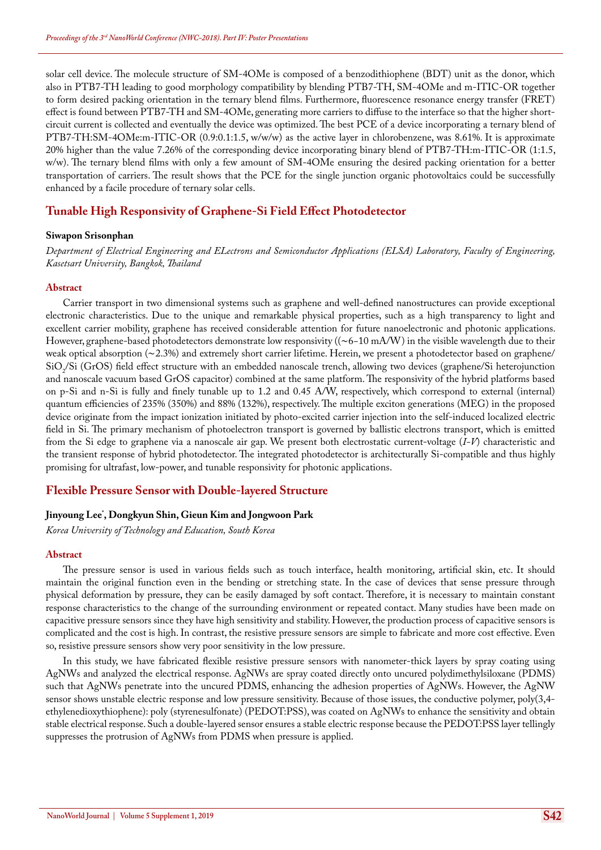solar cell device. The molecule structure of SM-4OMe is composed of a benzodithiophene (BDT) unit as the donor, which also in PTB7-TH leading to good morphology compatibility by blending PTB7-TH, SM-4OMe and m-ITIC-OR together to form desired packing orientation in the ternary blend films. Furthermore, fluorescence resonance energy transfer (FRET) effect is found between PTB7-TH and SM-4OMe, generating more carriers to diffuse to the interface so that the higher shortcircuit current is collected and eventually the device was optimized. The best PCE of a device incorporating a ternary blend of PTB7-TH:SM-4OMe:m-ITIC-OR (0.9:0.1:1.5, w/w/w) as the active layer in chlorobenzene, was 8.61%. It is approximate 20% higher than the value 7.26% of the corresponding device incorporating binary blend of PTB7-TH:m-ITIC-OR (1:1.5, w/w). The ternary blend films with only a few amount of SM-4OMe ensuring the desired packing orientation for a better transportation of carriers. The result shows that the PCE for the single junction organic photovoltaics could be successfully enhanced by a facile procedure of ternary solar cells.

### **Tunable High Responsivity of Graphene-Si Field Effect Photodetector**

#### **Siwapon Srisonphan**

*Department of Electrical Engineering and ELectrons and Semiconductor Applications (ELSA) Laboratory, Faculty of Engineering, Kasetsart University, Bangkok, Thailand*

#### **Abstract**

Carrier transport in two dimensional systems such as graphene and well-defined nanostructures can provide exceptional electronic characteristics. Due to the unique and remarkable physical properties, such as a high transparency to light and excellent carrier mobility, graphene has received considerable attention for future nanoelectronic and photonic applications. However, graphene-based photodetectors demonstrate low responsivity ((∼6−10 mA/W) in the visible wavelength due to their weak optical absorption (∼2.3%) and extremely short carrier lifetime. Herein, we present a photodetector based on graphene/ SiO<sub>2</sub>/Si (GrOS) field effect structure with an embedded nanoscale trench, allowing two devices (graphene/Si heterojunction and nanoscale vacuum based GrOS capacitor) combined at the same platform. The responsivity of the hybrid platforms based on p-Si and n-Si is fully and finely tunable up to 1.2 and 0.45 A/W, respectively, which correspond to external (internal) quantum efficiencies of 235% (350%) and 88% (132%), respectively. The multiple exciton generations (MEG) in the proposed device originate from the impact ionization initiated by photo-excited carrier injection into the self-induced localized electric field in Si. The primary mechanism of photoelectron transport is governed by ballistic electrons transport, which is emitted from the Si edge to graphene via a nanoscale air gap. We present both electrostatic current-voltage (*I-V*) characteristic and the transient response of hybrid photodetector. The integrated photodetector is architecturally Si-compatible and thus highly promising for ultrafast, low-power, and tunable responsivity for photonic applications.

### **Flexible Pressure Sensor with Double-layered Structure**

### **Jinyoung Lee\* , Dongkyun Shin, Gieun Kim and Jongwoon Park**

*Korea University of Technology and Education, South Korea*

#### **Abstract**

The pressure sensor is used in various fields such as touch interface, health monitoring, artificial skin, etc. It should maintain the original function even in the bending or stretching state. In the case of devices that sense pressure through physical deformation by pressure, they can be easily damaged by soft contact. Therefore, it is necessary to maintain constant response characteristics to the change of the surrounding environment or repeated contact. Many studies have been made on capacitive pressure sensors since they have high sensitivity and stability. However, the production process of capacitive sensors is complicated and the cost is high. In contrast, the resistive pressure sensors are simple to fabricate and more cost effective. Even so, resistive pressure sensors show very poor sensitivity in the low pressure.

In this study, we have fabricated flexible resistive pressure sensors with nanometer-thick layers by spray coating using AgNWs and analyzed the electrical response. AgNWs are spray coated directly onto uncured polydimethylsiloxane (PDMS) such that AgNWs penetrate into the uncured PDMS, enhancing the adhesion properties of AgNWs. However, the AgNW sensor shows unstable electric response and low pressure sensitivity. Because of those issues, the conductive polymer, poly(3,4 ethylenedioxythiophene): poly (styrenesulfonate) (PEDOT:PSS), was coated on AgNWs to enhance the sensitivity and obtain stable electrical response. Such a double-layered sensor ensures a stable electric response because the PEDOT:PSS layer tellingly suppresses the protrusion of AgNWs from PDMS when pressure is applied.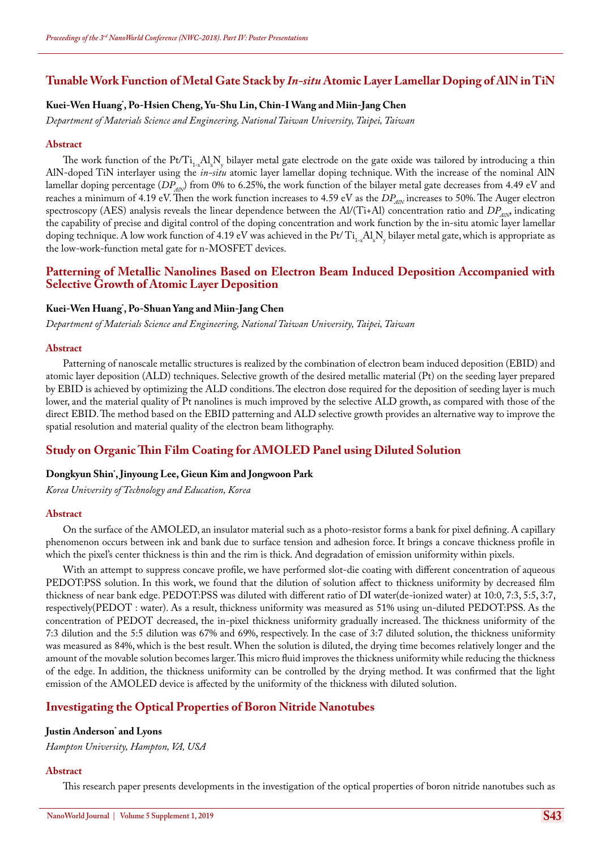### **Tunable Work Function of Metal Gate Stack by** *In-situ* **Atomic Layer Lamellar Doping of AlN in TiN**

### **Kuei-Wen Huang\* , Po-Hsien Cheng, Yu-Shu Lin, Chin-I Wang and Miin-Jang Chen**

*Department of Materials Science and Engineering, National Taiwan University, Taipei, Taiwan*

#### **Abstract**

The work function of the Pt/Ti<sub>1-x</sub>Al<sub>x</sub>N<sub>y</sub> bilayer metal gate electrode on the gate oxide was tailored by introducing a thin AlN-doped TiN interlayer using the *in-situ* atomic layer lamellar doping technique. With the increase of the nominal AlN lamellar doping percentage (*DP<sub>AN</sub>*) from 0% to 6.25%, the work function of the bilayer metal gate decreases from 4.49 eV and reaches a minimum of 4.19 eV. Then the work function increases to 4.59 eV as the  $DP_{AN}$  increases to 50%. The Auger electron spectroscopy (AES) analysis reveals the linear dependence between the Al/(Ti+Al) concentration ratio and  $DP_{AN}$  indicating the capability of precise and digital control of the doping concentration and work function by the in-situ atomic layer lamellar doping technique. A low work function of 4.19 eV was achieved in the Pt/  $T_{1-x}A_xN_y$  bilayer metal gate, which is appropriate as the low-work-function metal gate for n-MOSFET devices.

### **Patterning of Metallic Nanolines Based on Electron Beam Induced Deposition Accompanied with Selective Growth of Atomic Layer Deposition**

### **Kuei-Wen Huang\* , Po-Shuan Yang and Miin-Jang Chen**

*Department of Materials Science and Engineering, National Taiwan University, Taipei, Taiwan*

#### **Abstract**

Patterning of nanoscale metallic structures is realized by the combination of electron beam induced deposition (EBID) and atomic layer deposition (ALD) techniques. Selective growth of the desired metallic material (Pt) on the seeding layer prepared by EBID is achieved by optimizing the ALD conditions. The electron dose required for the deposition of seeding layer is much lower, and the material quality of Pt nanolines is much improved by the selective ALD growth, as compared with those of the direct EBID. The method based on the EBID patterning and ALD selective growth provides an alternative way to improve the spatial resolution and material quality of the electron beam lithography.

#### **Study on Organic Thin Film Coating for AMOLED Panel using Diluted Solution**

### **Dongkyun Shin\* , Jinyoung Lee, Gieun Kim and Jongwoon Park**

*Korea University of Technology and Education, Korea*

#### **Abstract**

On the surface of the AMOLED, an insulator material such as a photo-resistor forms a bank for pixel defining. A capillary phenomenon occurs between ink and bank due to surface tension and adhesion force. It brings a concave thickness profile in which the pixel's center thickness is thin and the rim is thick. And degradation of emission uniformity within pixels.

With an attempt to suppress concave profile, we have performed slot-die coating with different concentration of aqueous PEDOT:PSS solution. In this work, we found that the dilution of solution affect to thickness uniformity by decreased film thickness of near bank edge. PEDOT:PSS was diluted with different ratio of DI water(de-ionized water) at 10:0, 7:3, 5:5, 3:7, respectively(PEDOT : water). As a result, thickness uniformity was measured as 51% using un-diluted PEDOT:PSS. As the concentration of PEDOT decreased, the in-pixel thickness uniformity gradually increased. The thickness uniformity of the 7:3 dilution and the 5:5 dilution was 67% and 69%, respectively. In the case of 3:7 diluted solution, the thickness uniformity was measured as 84%, which is the best result. When the solution is diluted, the drying time becomes relatively longer and the amount of the movable solution becomes larger. This micro fluid improves the thickness uniformity while reducing the thickness of the edge. In addition, the thickness uniformity can be controlled by the drying method. It was confirmed that the light emission of the AMOLED device is affected by the uniformity of the thickness with diluted solution.

### **Investigating the Optical Properties of Boron Nitride Nanotubes**

#### **Justin Anderson\* and Lyons**

*Hampton University, Hampton, VA, USA*

#### **Abstract**

This research paper presents developments in the investigation of the optical properties of boron nitride nanotubes such as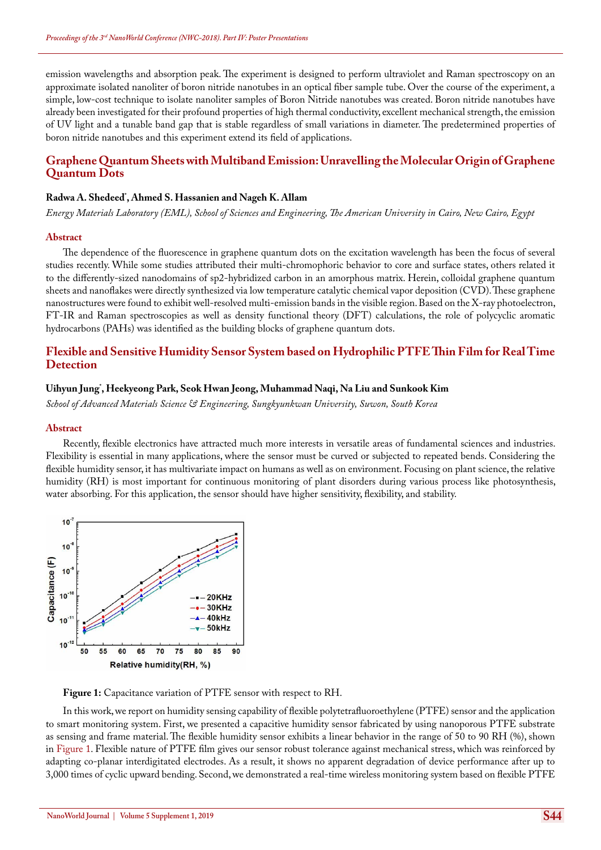emission wavelengths and absorption peak. The experiment is designed to perform ultraviolet and Raman spectroscopy on an approximate isolated nanoliter of boron nitride nanotubes in an optical fiber sample tube. Over the course of the experiment, a simple, low-cost technique to isolate nanoliter samples of Boron Nitride nanotubes was created. Boron nitride nanotubes have already been investigated for their profound properties of high thermal conductivity, excellent mechanical strength, the emission of UV light and a tunable band gap that is stable regardless of small variations in diameter. The predetermined properties of boron nitride nanotubes and this experiment extend its field of applications.

### **Graphene Quantum Sheets with Multiband Emission: Unravelling the Molecular Origin of Graphene Quantum Dots**

### **Radwa A. Shedeed\* , Ahmed S. Hassanien and Nageh K. Allam**

*Energy Materials Laboratory (EML), School of Sciences and Engineering, The American University in Cairo, New Cairo, Egypt*

#### **Abstract**

The dependence of the fluorescence in graphene quantum dots on the excitation wavelength has been the focus of several studies recently. While some studies attributed their multi-chromophoric behavior to core and surface states, others related it to the differently-sized nanodomains of sp2-hybridized carbon in an amorphous matrix. Herein, colloidal graphene quantum sheets and nanoflakes were directly synthesized via low temperature catalytic chemical vapor deposition (CVD). These graphene nanostructures were found to exhibit well-resolved multi-emission bands in the visible region. Based on the X-ray photoelectron, FT-IR and Raman spectroscopies as well as density functional theory (DFT) calculations, the role of polycyclic aromatic hydrocarbons (PAHs) was identified as the building blocks of graphene quantum dots.

### **Flexible and Sensitive Humidity Sensor System based on Hydrophilic PTFE Thin Film for Real Time Detection**

#### **Uihyun Jung\* , Heekyeong Park, Seok Hwan Jeong, Muhammad Naqi, Na Liu and Sunkook Kim**

*School of Advanced Materials Science & Engineering, Sungkyunkwan University, Suwon, South Korea*

#### **Abstract**

Recently, flexible electronics have attracted much more interests in versatile areas of fundamental sciences and industries. Flexibility is essential in many applications, where the sensor must be curved or subjected to repeated bends. Considering the flexible humidity sensor, it has multivariate impact on humans as well as on environment. Focusing on plant science, the relative humidity (RH) is most important for continuous monitoring of plant disorders during various process like photosynthesis, water absorbing. For this application, the sensor should have higher sensitivity, flexibility, and stability.



**Figure 1:** Capacitance variation of PTFE sensor with respect to RH.

In this work, we report on humidity sensing capability of flexible polytetrafluoroethylene (PTFE) sensor and the application to smart monitoring system. First, we presented a capacitive humidity sensor fabricated by using nanoporous PTFE substrate as sensing and frame material. The flexible humidity sensor exhibits a linear behavior in the range of 50 to 90 RH (%), shown in Figure 1. Flexible nature of PTFE film gives our sensor robust tolerance against mechanical stress, which was reinforced by adapting co-planar interdigitated electrodes. As a result, it shows no apparent degradation of device performance after up to 3,000 times of cyclic upward bending. Second, we demonstrated a real-time wireless monitoring system based on flexible PTFE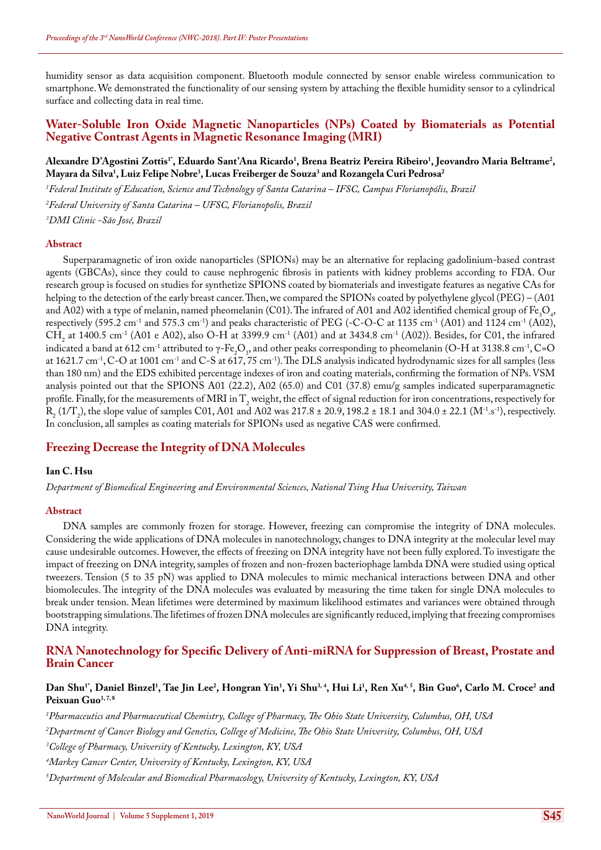humidity sensor as data acquisition component. Bluetooth module connected by sensor enable wireless communication to smartphone. We demonstrated the functionality of our sensing system by attaching the flexible humidity sensor to a cylindrical surface and collecting data in real time.

### **Water-Soluble Iron Oxide Magnetic Nanoparticles (NPs) Coated by Biomaterials as Potential Negative Contrast Agents in Magnetic Resonance Imaging (MRI)**

### Alexandre D'Agostini Zottis'', Eduardo Sant'Ana Ricardo<sup>1</sup>, Brena Beatriz Pereira Ribeiro<sup>1</sup>, Jeovandro Maria Beltrame<sup>2</sup>, **Mayara da Silva1 , Luiz Felipe Nobre3 , Lucas Freiberger de Souza3 and Rozangela Curi Pedrosa2**

*1 Federal Institute of Education, Science and Technology of Santa Catarina – IFSC, Campus Florianopólis, Brazil 2 Federal University of Santa Catarina – UFSC, Florianopolis, Brazil 3 DMI Clinic -São José, Brazil*

#### **Abstract**

Superparamagnetic of iron oxide nanoparticles (SPIONs) may be an alternative for replacing gadolinium-based contrast agents (GBCAs), since they could to cause nephrogenic fibrosis in patients with kidney problems according to FDA. Our research group is focused on studies for synthetize SPIONS coated by biomaterials and investigate features as negative CAs for helping to the detection of the early breast cancer. Then, we compared the SPIONs coated by polyethylene glycol (PEG) – (A01 and A02) with a type of melanin, named pheomelanin (C01). The infrared of A01 and A02 identified chemical group of Fe<sub>3</sub>O<sub>4</sub>, respectively (595.2 cm<sup>-1</sup> and 575.3 cm<sup>-1</sup>) and peaks characteristic of PEG (-C-O-C at 1135 cm<sup>-1</sup> (A01) and 1124 cm<sup>-1</sup> (A02),  $CH_2$  at 1400.5 cm<sup>-1</sup> (A01 e A02), also O-H at 3399.9 cm<sup>-1</sup> (A01) and at 3434.8 cm<sup>-1</sup> (A02)). Besides, for C01, the infrared indicated a band at 612 cm<sup>-1</sup> attributed to  $\gamma$ -Fe<sub>2</sub>O<sub>3</sub>, and other peaks corresponding to pheomelanin (O-H at 3138.8 cm<sup>-1</sup>, C=O at 1621.7 cm<sup>-1</sup>, C-O at 1001 cm<sup>-1</sup> and C-S at 617, 75 cm<sup>-1</sup>). The DLS analysis indicated hydrodynamic sizes for all samples (less than 180 nm) and the EDS exhibited percentage indexes of iron and coating materials, confirming the formation of NPs. VSM analysis pointed out that the SPIONS A01 (22.2), A02 (65.0) and C01 (37.8) emu/g samples indicated superparamagnetic profile. Finally, for the measurements of MRI in  $\Gamma_2$  weight, the effect of signal reduction for iron concentrations, respectively for  $R_2(1/T_2)$ , the slope value of samples C01, A01 and A02 was 217.8 ± 20.9, 198.2 ± 18.1 and 304.0 ± 22.1 (M<sup>-1</sup>.s<sup>-1</sup>), respectively. In conclusion, all samples as coating materials for SPIONs used as negative CAS were confirmed.

### **Freezing Decrease the Integrity of DNA Molecules**

#### **Ian C. Hsu**

*Department of Biomedical Engineering and Environmental Sciences, National Tsing Hua University, Taiwan*

#### **Abstract**

DNA samples are commonly frozen for storage. However, freezing can compromise the integrity of DNA molecules. Considering the wide applications of DNA molecules in nanotechnology, changes to DNA integrity at the molecular level may cause undesirable outcomes. However, the effects of freezing on DNA integrity have not been fully explored. To investigate the impact of freezing on DNA integrity, samples of frozen and non-frozen bacteriophage lambda DNA were studied using optical tweezers. Tension (5 to 35 pN) was applied to DNA molecules to mimic mechanical interactions between DNA and other biomolecules. The integrity of the DNA molecules was evaluated by measuring the time taken for single DNA molecules to break under tension. Mean lifetimes were determined by maximum likelihood estimates and variances were obtained through bootstrapping simulations. The lifetimes of frozen DNA molecules are significantly reduced, implying that freezing compromises DNA integrity.

### **RNA Nanotechnology for Specific Delivery of Anti-miRNA for Suppression of Breast, Prostate and Brain Cancer**

#### Dan Shu", Daniel Binzel<sup>1</sup>, Tae Jin Lee<sup>2</sup>, Hongran Yin<sup>1</sup>, Yi Shu<sup>3,4</sup>, Hui Li<sup>1</sup>, Ren Xu<sup>4,5</sup>, Bin Guo<sup>6</sup>, Carlo M. Croce<sup>2</sup> and Peixuan Guo<sup>1,7,8</sup>

*1 Pharmaceutics and Pharmaceutical Chemistry, College of Pharmacy, The Ohio State University, Columbus, OH, USA*

*2 Department of Cancer Biology and Genetics, College of Medicine, The Ohio State University, Columbus, OH, USA*

*3 College of Pharmacy, University of Kentucky, Lexington, KY, USA*

*4 Markey Cancer Center, University of Kentucky, Lexington, KY, USA*

*5 Department of Molecular and Biomedical Pharmacology, University of Kentucky, Lexington, KY, USA*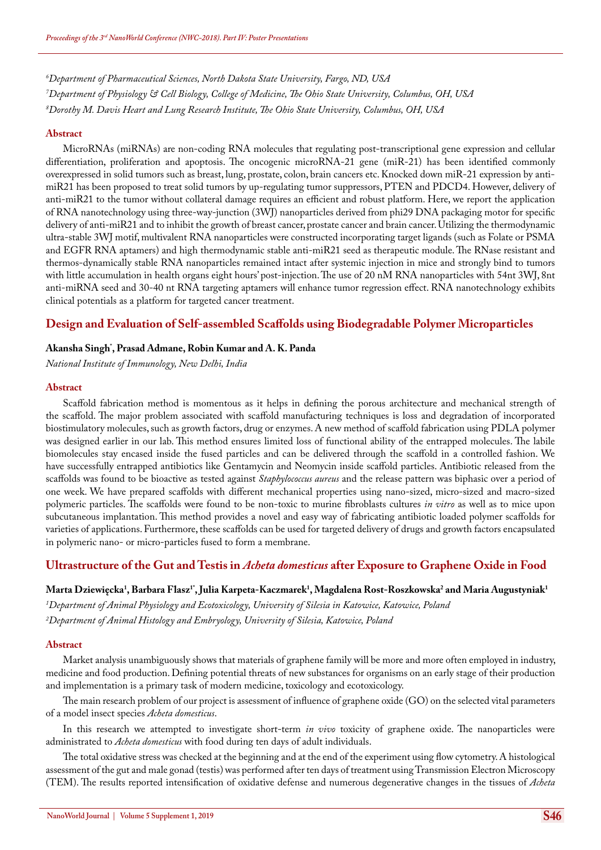*6 Department of Pharmaceutical Sciences, North Dakota State University, Fargo, ND, USA 7 Department of Physiology & Cell Biology, College of Medicine, The Ohio State University, Columbus, OH, USA 8 Dorothy M. Davis Heart and Lung Research Institute, The Ohio State University, Columbus, OH, USA*

#### **Abstract**

MicroRNAs (miRNAs) are non-coding RNA molecules that regulating post-transcriptional gene expression and cellular differentiation, proliferation and apoptosis. The oncogenic microRNA-21 gene (miR-21) has been identified commonly overexpressed in solid tumors such as breast, lung, prostate, colon, brain cancers etc. Knocked down miR-21 expression by antimiR21 has been proposed to treat solid tumors by up-regulating tumor suppressors, PTEN and PDCD4. However, delivery of anti-miR21 to the tumor without collateral damage requires an efficient and robust platform. Here, we report the application of RNA nanotechnology using three-way-junction (3WJ) nanoparticles derived from phi29 DNA packaging motor for specific delivery of anti-miR21 and to inhibit the growth of breast cancer, prostate cancer and brain cancer. Utilizing the thermodynamic ultra-stable 3WJ motif, multivalent RNA nanoparticles were constructed incorporating target ligands (such as Folate or PSMA and EGFR RNA aptamers) and high thermodynamic stable anti-miR21 seed as therapeutic module. The RNase resistant and thermos-dynamically stable RNA nanoparticles remained intact after systemic injection in mice and strongly bind to tumors with little accumulation in health organs eight hours' post-injection. The use of 20 nM RNA nanoparticles with 54nt 3WJ, 8nt anti-miRNA seed and 30-40 nt RNA targeting aptamers will enhance tumor regression effect. RNA nanotechnology exhibits clinical potentials as a platform for targeted cancer treatment.

### **Design and Evaluation of Self-assembled Scaffolds using Biodegradable Polymer Microparticles**

### **Akansha Singh\* , Prasad Admane, Robin Kumar and A. K. Panda**

*National Institute of Immunology, New Delhi, India*

#### **Abstract**

Scaffold fabrication method is momentous as it helps in defining the porous architecture and mechanical strength of the scaffold. The major problem associated with scaffold manufacturing techniques is loss and degradation of incorporated biostimulatory molecules, such as growth factors, drug or enzymes. A new method of scaffold fabrication using PDLA polymer was designed earlier in our lab. This method ensures limited loss of functional ability of the entrapped molecules. The labile biomolecules stay encased inside the fused particles and can be delivered through the scaffold in a controlled fashion. We have successfully entrapped antibiotics like Gentamycin and Neomycin inside scaffold particles. Antibiotic released from the scaffolds was found to be bioactive as tested against *Staphylococcus aureus* and the release pattern was biphasic over a period of one week. We have prepared scaffolds with different mechanical properties using nano-sized, micro-sized and macro-sized polymeric particles. The scaffolds were found to be non-toxic to murine fibroblasts cultures *in vitro* as well as to mice upon subcutaneous implantation. This method provides a novel and easy way of fabricating antibiotic loaded polymer scaffolds for varieties of applications. Furthermore, these scaffolds can be used for targeted delivery of drugs and growth factors encapsulated in polymeric nano- or micro-particles fused to form a membrane.

### **Ultrastructure of the Gut and Testis in** *Acheta domesticus* **after Exposure to Graphene Oxide in Food**

### Marta Dziewięcka<sup>1</sup>, Barbara Flasz<sup>1</sup>', Julia Karpeta-Kaczmarek<sup>1</sup>, Magdalena Rost-Roszkowska<sup>2</sup> and Maria Augustyniak<sup>1</sup>

*1 Department of Animal Physiology and Ecotoxicology, University of Silesia in Katowice, Katowice, Poland 2 Department of Animal Histology and Embryology, University of Silesia, Katowice, Poland*

#### **Abstract**

Market analysis unambiguously shows that materials of graphene family will be more and more often employed in industry, medicine and food production. Defining potential threats of new substances for organisms on an early stage of their production and implementation is a primary task of modern medicine, toxicology and ecotoxicology.

The main research problem of our project is assessment of influence of graphene oxide (GO) on the selected vital parameters of a model insect species *Acheta domesticus*.

In this research we attempted to investigate short-term *in vivo* toxicity of graphene oxide. The nanoparticles were administrated to *Acheta domesticus* with food during ten days of adult individuals.

The total oxidative stress was checked at the beginning and at the end of the experiment using flow cytometry. A histological assessment of the gut and male gonad (testis) was performed after ten days of treatment using Transmission Electron Microscopy (TEM). The results reported intensification of oxidative defense and numerous degenerative changes in the tissues of *Acheta*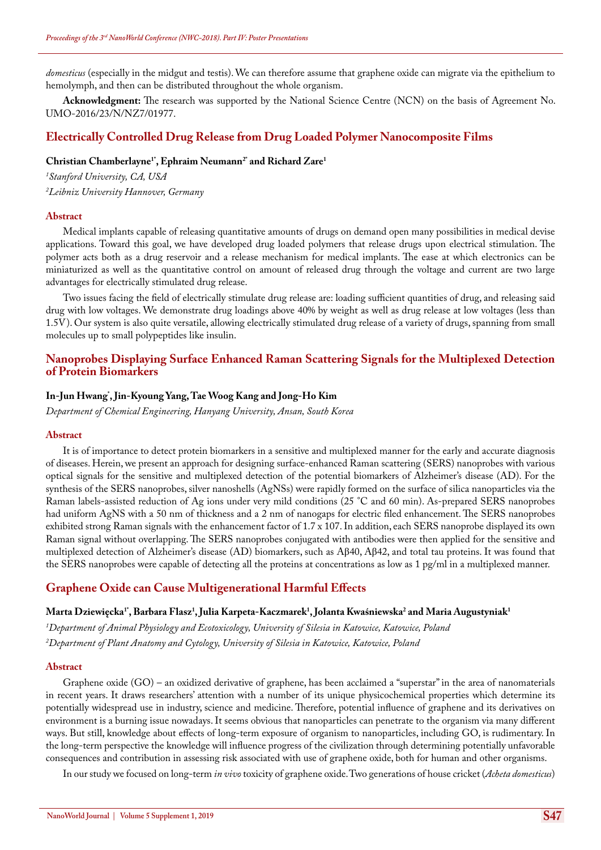*domesticus* (especially in the midgut and testis). We can therefore assume that graphene oxide can migrate via the epithelium to hemolymph, and then can be distributed throughout the whole organism.

**Acknowledgment:** The research was supported by the National Science Centre (NCN) on the basis of Agreement No. UMO-2016/23/N/NZ7/01977.

### **Electrically Controlled Drug Release from Drug Loaded Polymer Nanocomposite Films**

#### **Christian Chamberlayne1\*, Ephraim Neumann2\* and Richard Zare1**

*1 Stanford University, CA, USA 2 Leibniz University Hannover, Germany*

#### **Abstract**

Medical implants capable of releasing quantitative amounts of drugs on demand open many possibilities in medical devise applications. Toward this goal, we have developed drug loaded polymers that release drugs upon electrical stimulation. The polymer acts both as a drug reservoir and a release mechanism for medical implants. The ease at which electronics can be miniaturized as well as the quantitative control on amount of released drug through the voltage and current are two large advantages for electrically stimulated drug release.

Two issues facing the field of electrically stimulate drug release are: loading sufficient quantities of drug, and releasing said drug with low voltages. We demonstrate drug loadings above 40% by weight as well as drug release at low voltages (less than 1.5V). Our system is also quite versatile, allowing electrically stimulated drug release of a variety of drugs, spanning from small molecules up to small polypeptides like insulin.

### **Nanoprobes Displaying Surface Enhanced Raman Scattering Signals for the Multiplexed Detection of Protein Biomarkers**

### **In-Jun Hwang\* , Jin-Kyoung Yang, Tae Woog Kang and Jong-Ho Kim**

*Department of Chemical Engineering, Hanyang University, Ansan, South Korea*

#### **Abstract**

It is of importance to detect protein biomarkers in a sensitive and multiplexed manner for the early and accurate diagnosis of diseases. Herein, we present an approach for designing surface-enhanced Raman scattering (SERS) nanoprobes with various optical signals for the sensitive and multiplexed detection of the potential biomarkers of Alzheimer's disease (AD). For the synthesis of the SERS nanoprobes, silver nanoshells (AgNSs) were rapidly formed on the surface of silica nanoparticles via the Raman labels-assisted reduction of Ag ions under very mild conditions (25 °C and 60 min). As-prepared SERS nanoprobes had uniform AgNS with a 50 nm of thickness and a 2 nm of nanogaps for electric filed enhancement. The SERS nanoprobes exhibited strong Raman signals with the enhancement factor of 1.7 x 107. In addition, each SERS nanoprobe displayed its own Raman signal without overlapping. The SERS nanoprobes conjugated with antibodies were then applied for the sensitive and multiplexed detection of Alzheimer's disease (AD) biomarkers, such as Aβ40, Aβ42, and total tau proteins. It was found that the SERS nanoprobes were capable of detecting all the proteins at concentrations as low as 1 pg/ml in a multiplexed manner.

#### **Graphene Oxide can Cause Multigenerational Harmful Effects**

### **Marta Dziewięcka1\*, Barbara Flasz1 , Julia Karpeta-Kaczmarek1 , Jolanta Kwaśniewska2 and Maria Augustyniak1**

*1 Department of Animal Physiology and Ecotoxicology, University of Silesia in Katowice, Katowice, Poland 2 Department of Plant Anatomy and Cytology, University of Silesia in Katowice, Katowice, Poland*

#### **Abstract**

Graphene oxide (GO) – an oxidized derivative of graphene, has been acclaimed a "superstar" in the area of nanomaterials in recent years. It draws researchers' attention with a number of its unique physicochemical properties which determine its potentially widespread use in industry, science and medicine. Therefore, potential influence of graphene and its derivatives on environment is a burning issue nowadays. It seems obvious that nanoparticles can penetrate to the organism via many different ways. But still, knowledge about effects of long-term exposure of organism to nanoparticles, including GO, is rudimentary. In the long-term perspective the knowledge will influence progress of the civilization through determining potentially unfavorable consequences and contribution in assessing risk associated with use of graphene oxide, both for human and other organisms.

In our study we focused on long-term *in vivo* toxicity of graphene oxide. Two generations of house cricket (*Acheta domesticus*)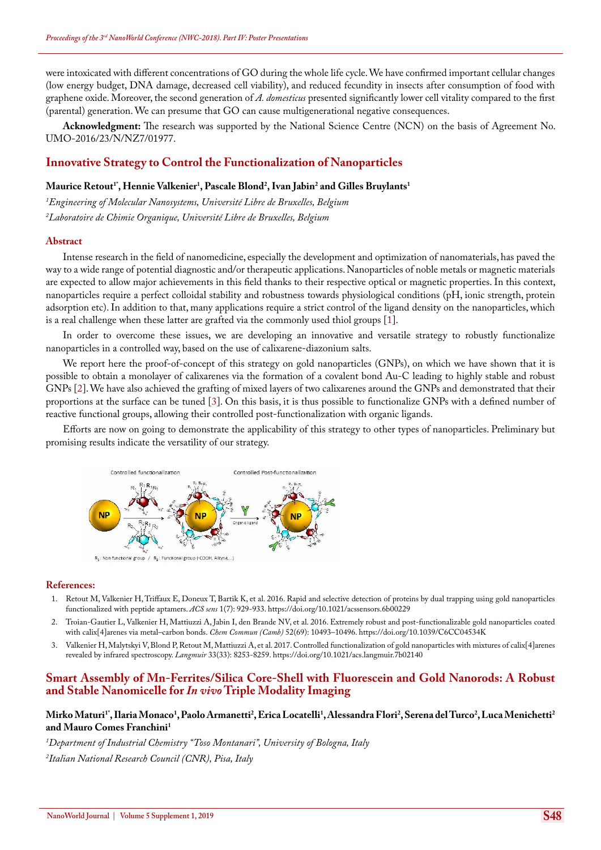were intoxicated with different concentrations of GO during the whole life cycle. We have confirmed important cellular changes (low energy budget, DNA damage, decreased cell viability), and reduced fecundity in insects after consumption of food with graphene oxide. Moreover, the second generation of *A. domesticus* presented significantly lower cell vitality compared to the first (parental) generation. We can presume that GO can cause multigenerational negative consequences.

**Acknowledgment:** The research was supported by the National Science Centre (NCN) on the basis of Agreement No. UMO-2016/23/N/NZ7/01977.

### **Innovative Strategy to Control the Functionalization of Nanoparticles**

### $\mathbf{Maurice\ Recti}$ , Hennie Valkenier<sup>1</sup>, Pascale Blond<sup>2</sup>, Ivan Jabin<sup>2</sup> and Gilles Bruylants<sup>1</sup>

*1 Engineering of Molecular Nanosystems, Université Libre de Bruxelles, Belgium 2 Laboratoire de Chimie Organique, Université Libre de Bruxelles, Belgium*

#### **Abstract**

Intense research in the field of nanomedicine, especially the development and optimization of nanomaterials, has paved the way to a wide range of potential diagnostic and/or therapeutic applications. Nanoparticles of noble metals or magnetic materials are expected to allow major achievements in this field thanks to their respective optical or magnetic properties. In this context, nanoparticles require a perfect colloidal stability and robustness towards physiological conditions (pH, ionic strength, protein adsorption etc). In addition to that, many applications require a strict control of the ligand density on the nanoparticles, which is a real challenge when these latter are grafted via the commonly used thiol groups [1].

In order to overcome these issues, we are developing an innovative and versatile strategy to robustly functionalize nanoparticles in a controlled way, based on the use of calixarene-diazonium salts.

We report here the proof-of-concept of this strategy on gold nanoparticles (GNPs), on which we have shown that it is possible to obtain a monolayer of calixarenes via the formation of a covalent bond Au-C leading to highly stable and robust GNPs [2]. We have also achieved the grafting of mixed layers of two calixarenes around the GNPs and demonstrated that their proportions at the surface can be tuned [3]. On this basis, it is thus possible to functionalize GNPs with a defined number of reactive functional groups, allowing their controlled post-functionalization with organic ligands.

Efforts are now on going to demonstrate the applicability of this strategy to other types of nanoparticles. Preliminary but promising results indicate the versatility of our strategy.



 $R_1$ : Non functional group /  $R_2$ : Functional group (-COOH, Alkyne,...

#### **References:**

- 1. [Retout M, Valkenier H, Triffaux E, Doneux T, Bartik K, et al. 2016. Rapid and selective detection of proteins by dual trapping using gold nanoparticles](https://pubs.acs.org/doi/abs/10.1021/acssensors.6b00229)  [functionalized with peptide aptamers.](https://pubs.acs.org/doi/abs/10.1021/acssensors.6b00229) *ACS sens* 1(7): 929-933. <https://doi.org/10.1021/acssensors.6b00229>
- 2. [Troian-Gautier L, Valkenier H, Mattiuzzi A, Jabin I, den Brande NV, et al. 2016. Extremely robust and post-functionalizable gold nanoparticles coated](https://www.ncbi.nlm.nih.gov/pubmed/27452314)  [with calix\[4\]arenes via metal–carbon bonds.](https://www.ncbi.nlm.nih.gov/pubmed/27452314) *Chem Commun (Camb)* 52(69): 10493–10496. <https://doi.org/10.1039/C6CC04534K>
- 3. [Valkenier H, Malytskyi V, Blond P, Retout M, Mattiuzzi A, et al. 2017. Controlled functionalization of gold nanoparticles with mixtures of calix\[4\]arenes](https://www.ncbi.nlm.nih.gov/pubmed/28727432)  [revealed by infrared spectroscopy.](https://www.ncbi.nlm.nih.gov/pubmed/28727432) *Langmuir* 33(33): 8253-8259. <https://doi.org/10.1021/acs.langmuir.7b02140>

### **Smart Assembly of Mn-Ferrites/Silica Core-Shell with Fluorescein and Gold Nanorods: A Robust and Stable Nanomicelle for** *In vivo* **Triple Modality Imaging**

#### **Mirko Maturi1\*, Ilaria Monaco1 , Paolo Armanetti2 , Erica Locatelli1 , Alessandra Flori2 , Serena del Turco2 , Luca Menichetti2 and Mauro Comes Franchini1**

*1 Department of Industrial Chemistry "Toso Montanari", University of Bologna, Italy 2 Italian National Research Council (CNR), Pisa, Italy*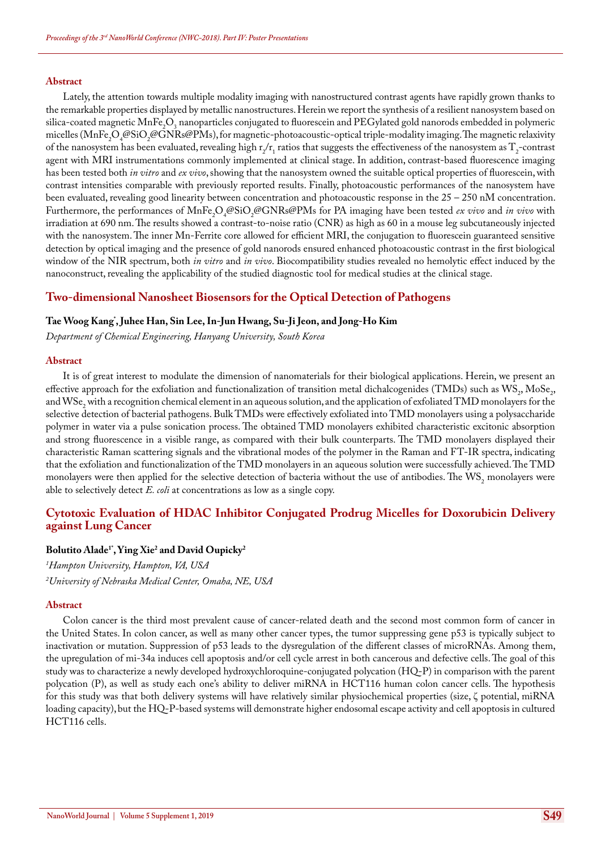#### **Abstract**

Lately, the attention towards multiple modality imaging with nanostructured contrast agents have rapidly grown thanks to the remarkable properties displayed by metallic nanostructures. Herein we report the synthesis of a resilient nanosystem based on silica-coated magnetic MnFe<sub>2</sub>O<sub>3</sub> nanoparticles conjugated to fluorescein and PEGylated gold nanorods embedded in polymeric micelles (MnFe<sub>2</sub>O<sub>4</sub>@SiO<sub>2</sub>@GNRs@PMs), for magnetic-photoacoustic-optical triple-modality imaging. The magnetic relaxivity of the nanosystem has been evaluated, revealing high  $r_2/r_1$  ratios that suggests the effectiveness of the nanosystem as  $\Gamma_2$ -contrast agent with MRI instrumentations commonly implemented at clinical stage. In addition, contrast-based fluorescence imaging has been tested both *in vitro* and *ex vivo*, showing that the nanosystem owned the suitable optical properties of fluorescein, with contrast intensities comparable with previously reported results. Finally, photoacoustic performances of the nanosystem have been evaluated, revealing good linearity between concentration and photoacoustic response in the 25 – 250 nM concentration. Furthermore, the performances of MnFe<sub>2</sub>O<sub>4</sub>@SiO<sub>2</sub>@GNRs@PMs for PA imaging have been tested *ex vivo* and *in vivo* with irradiation at 690 nm. The results showed a contrast-to-noise ratio (CNR) as high as 60 in a mouse leg subcutaneously injected with the nanosystem. The inner Mn-Ferrite core allowed for efficient MRI, the conjugation to fluorescein guaranteed sensitive detection by optical imaging and the presence of gold nanorods ensured enhanced photoacoustic contrast in the first biological window of the NIR spectrum, both *in vitro* and *in vivo*. Biocompatibility studies revealed no hemolytic effect induced by the nanoconstruct, revealing the applicability of the studied diagnostic tool for medical studies at the clinical stage.

### **Two-dimensional Nanosheet Biosensors for the Optical Detection of Pathogens**

### **Tae Woog Kang\* , Juhee Han, Sin Lee, In-Jun Hwang, Su-Ji Jeon, and Jong-Ho Kim**

*Department of Chemical Engineering, Hanyang University, South Korea*

#### **Abstract**

It is of great interest to modulate the dimension of nanomaterials for their biological applications. Herein, we present an effective approach for the exfoliation and functionalization of transition metal dichalcogenides (TMDs) such as  $\text{WS}_2$ , MoSe<sub>2</sub>, and  $\mathrm{WSe}_2$  with a recognition chemical element in an aqueous solution, and the application of exfoliated TMD monolayers for the selective detection of bacterial pathogens. Bulk TMDs were effectively exfoliated into TMD monolayers using a polysaccharide polymer in water via a pulse sonication process. The obtained TMD monolayers exhibited characteristic excitonic absorption and strong fluorescence in a visible range, as compared with their bulk counterparts. The TMD monolayers displayed their characteristic Raman scattering signals and the vibrational modes of the polymer in the Raman and FT-IR spectra, indicating that the exfoliation and functionalization of the TMD monolayers in an aqueous solution were successfully achieved. The TMD monolayers were then applied for the selective detection of bacteria without the use of antibodies. The  $\text{WS}_2$  monolayers were able to selectively detect *E. coli* at concentrations as low as a single copy.

### **Cytotoxic Evaluation of HDAC Inhibitor Conjugated Prodrug Micelles for Doxorubicin Delivery against Lung Cancer**

### **Bolutito Alade1\*, Ying Xie2 and David Oupicky2**

*1 Hampton University, Hampton, VA, USA*

*2 University of Nebraska Medical Center, Omaha, NE, USA*

#### **Abstract**

Colon cancer is the third most prevalent cause of cancer-related death and the second most common form of cancer in the United States. In colon cancer, as well as many other cancer types, the tumor suppressing gene p53 is typically subject to inactivation or mutation. Suppression of p53 leads to the dysregulation of the different classes of microRNAs. Among them, the upregulation of mi-34a induces cell apoptosis and/or cell cycle arrest in both cancerous and defective cells. The goal of this study was to characterize a newly developed hydroxychloroquine-conjugated polycation (HQ-P) in comparison with the parent polycation (P), as well as study each one's ability to deliver miRNA in HCT116 human colon cancer cells. The hypothesis for this study was that both delivery systems will have relatively similar physiochemical properties (size, ζ potential, miRNA loading capacity), but the HQ-P-based systems will demonstrate higher endosomal escape activity and cell apoptosis in cultured HCT116 cells.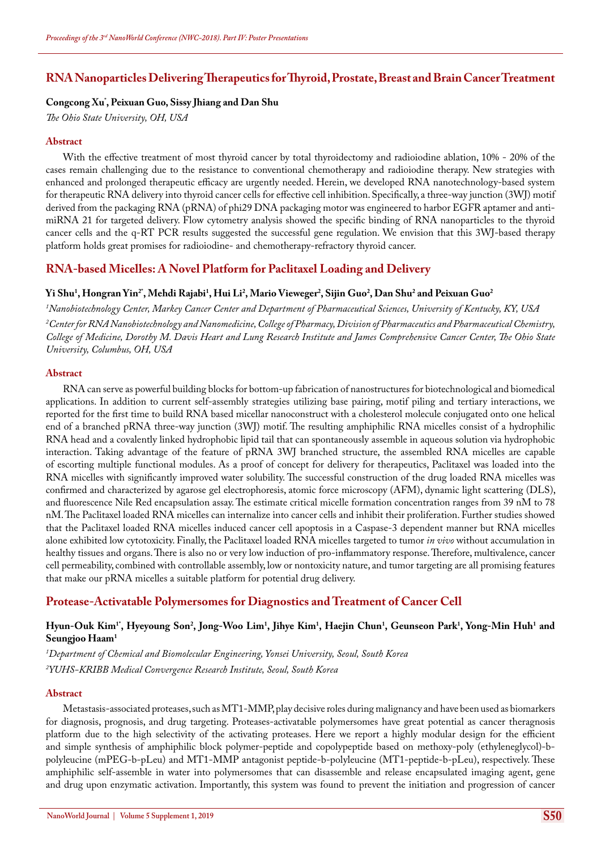### **RNA Nanoparticles Delivering Therapeutics for Thyroid, Prostate, Breast and Brain Cancer Treatment**

### **Congcong Xu\* , Peixuan Guo, Sissy Jhiang and Dan Shu**

*The Ohio State University, OH, USA*

#### **Abstract**

With the effective treatment of most thyroid cancer by total thyroidectomy and radioiodine ablation, 10% - 20% of the cases remain challenging due to the resistance to conventional chemotherapy and radioiodine therapy. New strategies with enhanced and prolonged therapeutic efficacy are urgently needed. Herein, we developed RNA nanotechnology-based system for therapeutic RNA delivery into thyroid cancer cells for effective cell inhibition. Specifically, a three-way junction (3WJ) motif derived from the packaging RNA (pRNA) of phi29 DNA packaging motor was engineered to harbor EGFR aptamer and antimiRNA 21 for targeted delivery. Flow cytometry analysis showed the specific binding of RNA nanoparticles to the thyroid cancer cells and the q-RT PCR results suggested the successful gene regulation. We envision that this 3WJ-based therapy platform holds great promises for radioiodine- and chemotherapy-refractory thyroid cancer.

### **RNA-based Micelles: A Novel Platform for Paclitaxel Loading and Delivery**

### $\bf{Yi}$  Shu<sup>1</sup>, Hongran Yin<sup>2</sup>', Mehdi Rajabi<sup>1</sup>, Hui Li<sup>2</sup>, Mario Vieweger<sup>2</sup>, Sijin Guo<sup>2</sup>, Dan Shu<sup>2</sup> and Peixuan Guo<sup>2</sup>

*1 Nanobiotechnology Center, Markey Cancer Center and Department of Pharmaceutical Sciences, University of Kentucky, KY, USA*

*2 Center for RNA Nanobiotechnology and Nanomedicine, College of Pharmacy, Division of Pharmaceutics and Pharmaceutical Chemistry, College of Medicine, Dorothy M. Davis Heart and Lung Research Institute and James Comprehensive Cancer Center, The Ohio State University, Columbus, OH, USA*

#### **Abstract**

RNA can serve as powerful building blocks for bottom-up fabrication of nanostructures for biotechnological and biomedical applications. In addition to current self-assembly strategies utilizing base pairing, motif piling and tertiary interactions, we reported for the first time to build RNA based micellar nanoconstruct with a cholesterol molecule conjugated onto one helical end of a branched pRNA three-way junction (3WJ) motif. The resulting amphiphilic RNA micelles consist of a hydrophilic RNA head and a covalently linked hydrophobic lipid tail that can spontaneously assemble in aqueous solution via hydrophobic interaction. Taking advantage of the feature of pRNA 3WJ branched structure, the assembled RNA micelles are capable of escorting multiple functional modules. As a proof of concept for delivery for therapeutics, Paclitaxel was loaded into the RNA micelles with significantly improved water solubility. The successful construction of the drug loaded RNA micelles was confirmed and characterized by agarose gel electrophoresis, atomic force microscopy (AFM), dynamic light scattering (DLS), and fluorescence Nile Red encapsulation assay. The estimate critical micelle formation concentration ranges from 39 nM to 78 nM. The Paclitaxel loaded RNA micelles can internalize into cancer cells and inhibit their proliferation. Further studies showed that the Paclitaxel loaded RNA micelles induced cancer cell apoptosis in a Caspase-3 dependent manner but RNA micelles alone exhibited low cytotoxicity. Finally, the Paclitaxel loaded RNA micelles targeted to tumor *in vivo* without accumulation in healthy tissues and organs. There is also no or very low induction of pro-inflammatory response. Therefore, multivalence, cancer cell permeability, combined with controllable assembly, low or nontoxicity nature, and tumor targeting are all promising features that make our pRNA micelles a suitable platform for potential drug delivery.

### **Protease-Activatable Polymersomes for Diagnostics and Treatment of Cancer Cell**

### Hyun-Ouk Kim<sup>1</sup>', Hyeyoung Son<sup>2</sup>, Jong-Woo Lim<sup>1</sup>, Jihye Kim<sup>1</sup>, Haejin Chun<sup>1</sup>, Geunseon Park<sup>1</sup>, Yong-Min Huh<sup>1</sup> and **Seungjoo Haam1**

*1 Department of Chemical and Biomolecular Engineering, Yonsei University, Seoul, South Korea 2 YUHS-KRIBB Medical Convergence Research Institute, Seoul, South Korea*

#### **Abstract**

Metastasis-associated proteases, such as MT1-MMP, play decisive roles during malignancy and have been used as biomarkers for diagnosis, prognosis, and drug targeting. Proteases-activatable polymersomes have great potential as cancer theragnosis platform due to the high selectivity of the activating proteases. Here we report a highly modular design for the efficient and simple synthesis of amphiphilic block polymer-peptide and copolypeptide based on methoxy-poly (ethyleneglycol)-bpolyleucine (mPEG-b-pLeu) and MT1-MMP antagonist peptide-b-polyleucine (MT1-peptide-b-pLeu), respectively. These amphiphilic self-assemble in water into polymersomes that can disassemble and release encapsulated imaging agent, gene and drug upon enzymatic activation. Importantly, this system was found to prevent the initiation and progression of cancer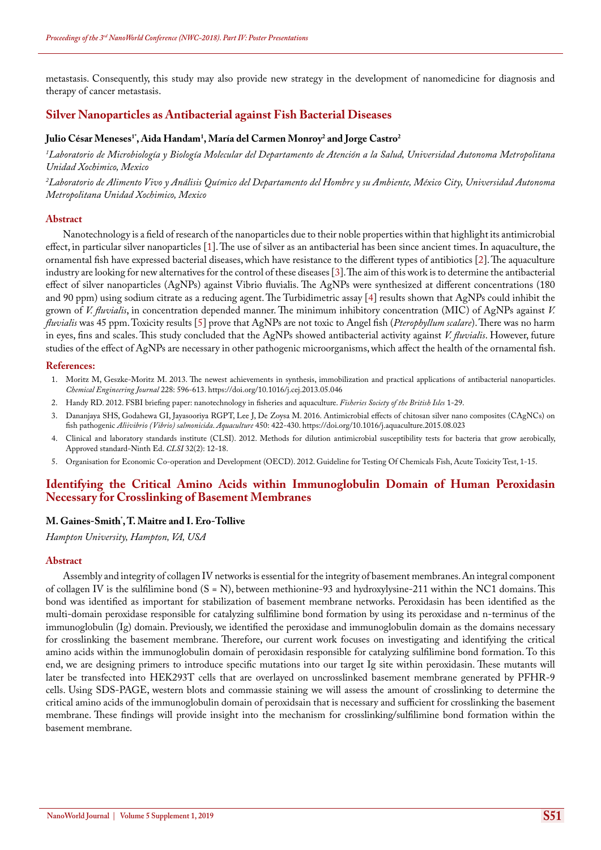metastasis. Consequently, this study may also provide new strategy in the development of nanomedicine for diagnosis and therapy of cancer metastasis.

### **Silver Nanoparticles as Antibacterial against Fish Bacterial Diseases**

### **Julio César Meneses1\*, Aida Handam1 , María del Carmen Monroy2 and Jorge Castro2**

*1 Laboratorio de Microbiología y Biología Molecular del Departamento de Atención a la Salud, Universidad Autonoma Metropolitana Unidad Xochimico, Mexico*

*2 Laboratorio de Alimento Vivo y Análisis Químico del Departamento del Hombre y su Ambiente, México City, Universidad Autonoma Metropolitana Unidad Xochimico, Mexico*

#### **Abstract**

Nanotechnology is a field of research of the nanoparticles due to their noble properties within that highlight its antimicrobial effect, in particular silver nanoparticles [1]. The use of silver as an antibacterial has been since ancient times. In aquaculture, the ornamental fish have expressed bacterial diseases, which have resistance to the different types of antibiotics [2]. The aquaculture industry are looking for new alternatives for the control of these diseases [3]. The aim of this work is to determine the antibacterial effect of silver nanoparticles (AgNPs) against Vibrio fluvialis. The AgNPs were synthesized at different concentrations (180 and 90 ppm) using sodium citrate as a reducing agent. The Turbidimetric assay [4] results shown that AgNPs could inhibit the grown of *V. fluvialis*, in concentration depended manner. The minimum inhibitory concentration (MIC) of AgNPs against *V. fluvialis* was 45 ppm. Toxicity results [5] prove that AgNPs are not toxic to Angel fish (*Pterophyllum scalare*). There was no harm in eyes, fins and scales. This study concluded that the AgNPs showed antibacterial activity against *V. fluvialis*. However, future studies of the effect of AgNPs are necessary in other pathogenic microorganisms, which affect the health of the ornamental fish.

#### **References:**

- 1. [Moritz M, Geszke-Moritz M. 2013. The newest achievements in synthesis, immobilization and practical applications of antibacterial nanoparticles.](https://www.sciencedirect.com/science/article/pii/S1385894713006669)  *[Chemical Engineering Journal](https://www.sciencedirect.com/science/article/pii/S1385894713006669)* 228: 596-613. <https://doi.org/10.1016/j.cej.2013.05.046>
- 2. [Handy RD. 2012. FSBI briefing paper: nanotechnology in fisheries and aquaculture.](http://www.fsbi.org.uk/assets/brief-nanotechnology-fisheriesaquaculture.pdf) *Fisheries Society of the British Isles* 1-29.
- 3. [Dananjaya SHS, Godahewa GI, Jayasooriya RGPT, Lee J, De Zoysa M. 2016. Antimicrobial effects of chitosan silver nano composites \(CAgNCs\) on](https://www.sciencedirect.com/science/article/abs/pii/S0044848615301423)  fish pathogenic *[Aliivibrio \(Vibrio\) salmonicida](https://www.sciencedirect.com/science/article/abs/pii/S0044848615301423)*. *Aquaculture* 450: 422-430. <https://doi.org/10.1016/j.aquaculture.2015.08.023>
- 4. [Clinical and laboratory standards institute \(CLSI\). 2012. Methods for dilution antimicrobial susceptibility tests for bacteria that grow aerobically,](http://www.facm.ucl.ac.be/intranet/CLSI/CLSI-2015-M07-A10-original.pdf)  [Approved standard-Ninth Ed.](http://www.facm.ucl.ac.be/intranet/CLSI/CLSI-2015-M07-A10-original.pdf) *CLSI* 32(2): 12-18.
- 5. Organisation for Economic Co-operation and Development (OECD). 2012. Guideline for Testing Of Chemicals Fish, Acute Toxicity Test, 1-15.

### **Identifying the Critical Amino Acids within Immunoglobulin Domain of Human Peroxidasin Necessary for Crosslinking of Basement Membranes**

### **M. Gaines-Smith\* , T. Maitre and I. Ero-Tollive**

*Hampton University, Hampton, VA, USA*

#### **Abstract**

Assembly and integrity of collagen IV networks is essential for the integrity of basement membranes. An integral component of collagen IV is the sulfilimine bond (S = N), between methionine-93 and hydroxylysine-211 within the NC1 domains. This bond was identified as important for stabilization of basement membrane networks. Peroxidasin has been identified as the multi-domain peroxidase responsible for catalyzing sulfilimine bond formation by using its peroxidase and n-terminus of the immunoglobulin (Ig) domain. Previously, we identified the peroxidase and immunoglobulin domain as the domains necessary for crosslinking the basement membrane. Therefore, our current work focuses on investigating and identifying the critical amino acids within the immunoglobulin domain of peroxidasin responsible for catalyzing sulfilimine bond formation. To this end, we are designing primers to introduce specific mutations into our target Ig site within peroxidasin. These mutants will later be transfected into HEK293T cells that are overlayed on uncrosslinked basement membrane generated by PFHR-9 cells. Using SDS-PAGE, western blots and commassie staining we will assess the amount of crosslinking to determine the critical amino acids of the immunoglobulin domain of peroxidsain that is necessary and sufficient for crosslinking the basement membrane. These findings will provide insight into the mechanism for crosslinking/sulfilimine bond formation within the basement membrane.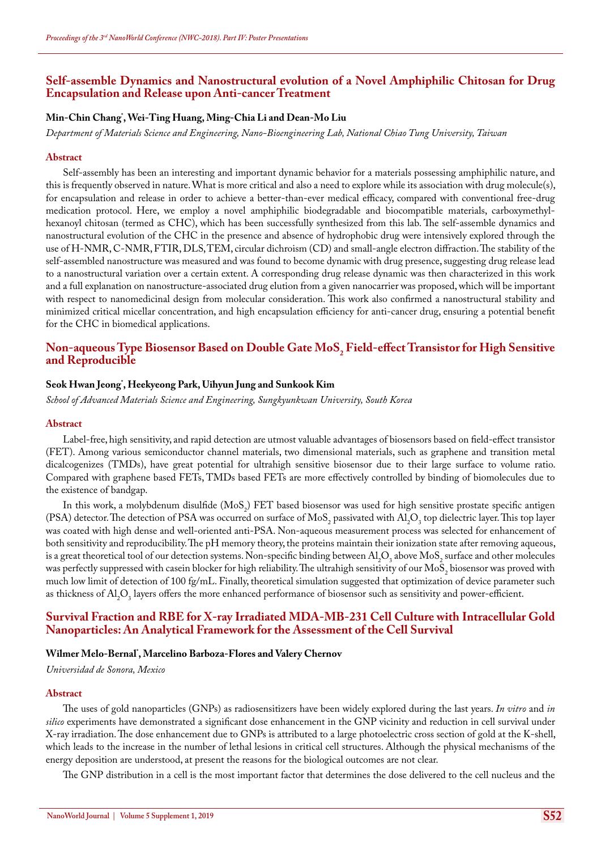### **Self-assemble Dynamics and Nanostructural evolution of a Novel Amphiphilic Chitosan for Drug Encapsulation and Release upon Anti-cancer Treatment**

### **Min-Chin Chang\* , Wei-Ting Huang, Ming-Chia Li and Dean-Mo Liu**

*Department of Materials Science and Engineering, Nano-Bioengineering Lab, National Chiao Tung University, Taiwan*

#### **Abstract**

Self-assembly has been an interesting and important dynamic behavior for a materials possessing amphiphilic nature, and this is frequently observed in nature. What is more critical and also a need to explore while its association with drug molecule(s), for encapsulation and release in order to achieve a better-than-ever medical efficacy, compared with conventional free-drug medication protocol. Here, we employ a novel amphiphilic biodegradable and biocompatible materials, carboxymethylhexanoyl chitosan (termed as CHC), which has been successfully synthesized from this lab. The self-assemble dynamics and nanostructural evolution of the CHC in the presence and absence of hydrophobic drug were intensively explored through the use of H-NMR, C-NMR, FTIR, DLS, TEM, circular dichroism (CD) and small-angle electron diffraction. The stability of the self-assembled nanostructure was measured and was found to become dynamic with drug presence, suggesting drug release lead to a nanostructural variation over a certain extent. A corresponding drug release dynamic was then characterized in this work and a full explanation on nanostructure-associated drug elution from a given nanocarrier was proposed, which will be important with respect to nanomedicinal design from molecular consideration. This work also confirmed a nanostructural stability and minimized critical micellar concentration, and high encapsulation efficiency for anti-cancer drug, ensuring a potential benefit for the CHC in biomedical applications.

### Non-aqueous Type Biosensor Based on Double Gate MoS<sub>2</sub> Field-effect Transistor for High Sensitive<br>LP **and Reproducible**

### **Seok Hwan Jeong\* , Heekyeong Park, Uihyun Jung and Sunkook Kim**

*School of Advanced Materials Science and Engineering, Sungkyunkwan University, South Korea*

#### **Abstract**

Label-free, high sensitivity, and rapid detection are utmost valuable advantages of biosensors based on field-effect transistor (FET). Among various semiconductor channel materials, two dimensional materials, such as graphene and transition metal dicalcogenizes (TMDs), have great potential for ultrahigh sensitive biosensor due to their large surface to volume ratio. Compared with graphene based FETs, TMDs based FETs are more effectively controlled by binding of biomolecules due to the existence of bandgap.

In this work, a molybdenum disulfide  $(MoS<sub>2</sub>)$  FET based biosensor was used for high sensitive prostate specific antigen (PSA) detector. The detection of PSA was occurred on surface of MoS<sub>2</sub> passivated with  $\text{Al}_2\text{O}_3$  top dielectric layer. This top layer was coated with high dense and well-oriented anti-PSA. Non-aqueous measurement process was selected for enhancement of both sensitivity and reproducibility. The pH memory theory, the proteins maintain their ionization state after removing aqueous, is a great theoretical tool of our detection systems. Non-specific binding between  $\mathrm{Al}_2\mathrm{O}_3$  above MoS<sub>2</sub> surface and other molecules was perfectly suppressed with casein blocker for high reliability. The ultrahigh sensitivity of our  ${\rm MoS}_2$  biosensor was proved with much low limit of detection of 100 fg/mL. Finally, theoretical simulation suggested that optimization of device parameter such as thickness of  $\mathrm{Al}_2\mathrm{O}_3$  layers offers the more enhanced performance of biosensor such as sensitivity and power-efficient.

### **Survival Fraction and RBE for X-ray Irradiated MDA-MB-231 Cell Culture with Intracellular Gold Nanoparticles: An Analytical Framework for the Assessment of the Cell Survival**

### **Wilmer Melo-Bernal\* , Marcelino Barboza-Flores and Valery Chernov**

*Universidad de Sonora, Mexico*

#### **Abstract**

The uses of gold nanoparticles (GNPs) as radiosensitizers have been widely explored during the last years. *In vitro* and *in silico* experiments have demonstrated a significant dose enhancement in the GNP vicinity and reduction in cell survival under X-ray irradiation. The dose enhancement due to GNPs is attributed to a large photoelectric cross section of gold at the K-shell, which leads to the increase in the number of lethal lesions in critical cell structures. Although the physical mechanisms of the energy deposition are understood, at present the reasons for the biological outcomes are not clear.

The GNP distribution in a cell is the most important factor that determines the dose delivered to the cell nucleus and the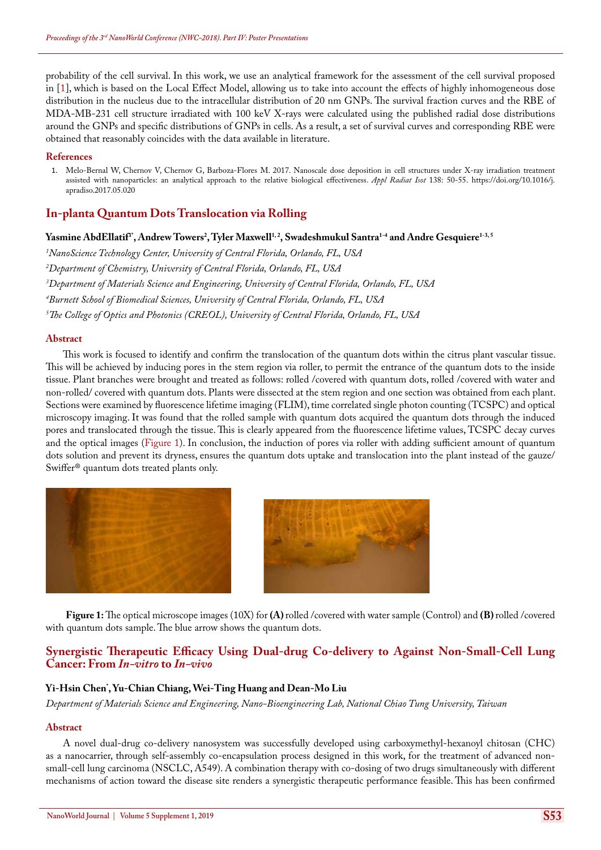probability of the cell survival. In this work, we use an analytical framework for the assessment of the cell survival proposed in [1], which is based on the Local Effect Model, allowing us to take into account the effects of highly inhomogeneous dose distribution in the nucleus due to the intracellular distribution of 20 nm GNPs. The survival fraction curves and the RBE of MDA-MB-231 cell structure irradiated with 100 keV X-rays were calculated using the published radial dose distributions around the GNPs and specific distributions of GNPs in cells. As a result, a set of survival curves and corresponding RBE were obtained that reasonably coincides with the data available in literature.

#### **References**

1. [Melo-Bernal W, Chernov V, Chernov G, Barboza-Flores M. 2017. Nanoscale dose deposition in cell structures under X-ray irradiation treatment](https://www.ncbi.nlm.nih.gov/pubmed/28624366)  [assisted with nanoparticles: an analytical approach to the relative biological effectiveness.](https://www.ncbi.nlm.nih.gov/pubmed/28624366) *Appl Radiat Isot* 138: 50-55. [https://doi.org/10.1016/j.](https://doi.org/10.1016/j.apradiso.2017.05.020) [apradiso.2017.05.020](https://doi.org/10.1016/j.apradiso.2017.05.020)

### **In-planta Quantum Dots Translocation via Rolling**

 $\bm{\mathrm{Y}}$ asmine AbdEllatif<sup>1</sup>', Andrew Towers<sup>2</sup>, Tyler Maxwell<sup>1,2</sup>, Swadeshmukul Santra<sup>1-4</sup> and Andre Gesquiere<sup>1-3, 5</sup>

*1 NanoScience Technology Center, University of Central Florida, Orlando, FL, USA*

*2 Department of Chemistry, University of Central Florida, Orlando, FL, USA*

*3 Department of Materials Science and Engineering, University of Central Florida, Orlando, FL, USA*

*4 Burnett School of Biomedical Sciences, University of Central Florida, Orlando, FL, USA*

*5 The College of Optics and Photonics (CREOL), University of Central Florida, Orlando, FL, USA*

#### **Abstract**

This work is focused to identify and confirm the translocation of the quantum dots within the citrus plant vascular tissue. This will be achieved by inducing pores in the stem region via roller, to permit the entrance of the quantum dots to the inside tissue. Plant branches were brought and treated as follows: rolled /covered with quantum dots, rolled /covered with water and non-rolled/ covered with quantum dots. Plants were dissected at the stem region and one section was obtained from each plant. Sections were examined by fluorescence lifetime imaging (FLIM), time correlated single photon counting (TCSPC) and optical microscopy imaging. It was found that the rolled sample with quantum dots acquired the quantum dots through the induced pores and translocated through the tissue. This is clearly appeared from the fluorescence lifetime values, TCSPC decay curves and the optical images (Figure 1). In conclusion, the induction of pores via roller with adding sufficient amount of quantum dots solution and prevent its dryness, ensures the quantum dots uptake and translocation into the plant instead of the gauze/ Swiffer® quantum dots treated plants only.



**Figure 1:** The optical microscope images (10X) for **(A)** rolled /covered with water sample (Control) and **(B)** rolled /covered with quantum dots sample. The blue arrow shows the quantum dots.

### **Synergistic Therapeutic Efficacy Using Dual-drug Co-delivery to Against Non-Small-Cell Lung Cancer: From** *In-vitro* **to** *In-vivo*

### **Yi-Hsin Chen\* , Yu-Chian Chiang, Wei-Ting Huang and Dean-Mo Liu**

*Department of Materials Science and Engineering, Nano-Bioengineering Lab, National Chiao Tung University, Taiwan*

#### **Abstract**

A novel dual-drug co-delivery nanosystem was successfully developed using carboxymethyl-hexanoyl chitosan (CHC) as a nanocarrier, through self-assembly co-encapsulation process designed in this work, for the treatment of advanced nonsmall-cell lung carcinoma (NSCLC, A549). A combination therapy with co-dosing of two drugs simultaneously with different mechanisms of action toward the disease site renders a synergistic therapeutic performance feasible. This has been confirmed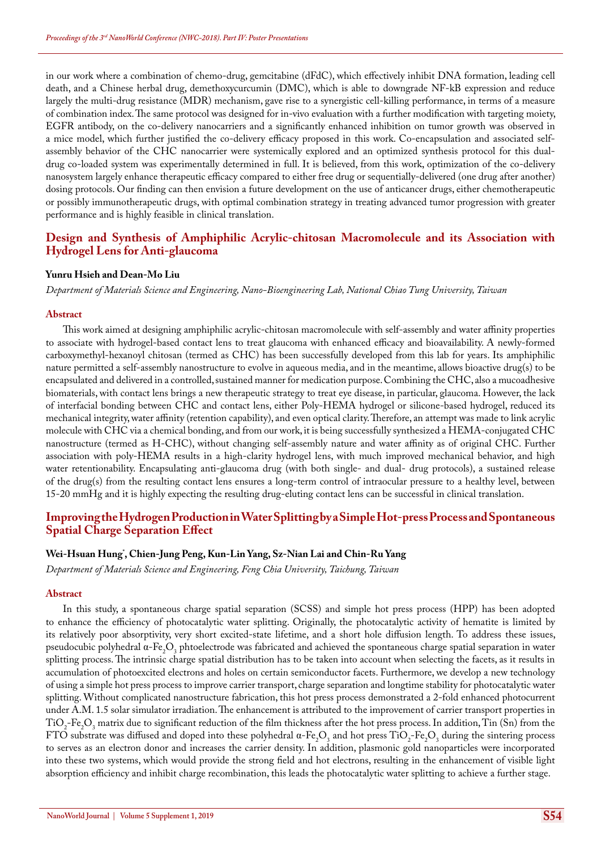in our work where a combination of chemo-drug, gemcitabine (dFdC), which effectively inhibit DNA formation, leading cell death, and a Chinese herbal drug, demethoxycurcumin (DMC), which is able to downgrade NF-kB expression and reduce largely the multi-drug resistance (MDR) mechanism, gave rise to a synergistic cell-killing performance, in terms of a measure of combination index. The same protocol was designed for in-vivo evaluation with a further modification with targeting moiety, EGFR antibody, on the co-delivery nanocarriers and a significantly enhanced inhibition on tumor growth was observed in a mice model, which further justified the co-delivery efficacy proposed in this work. Co-encapsulation and associated selfassembly behavior of the CHC nanocarrier were systemically explored and an optimized synthesis protocol for this dualdrug co-loaded system was experimentally determined in full. It is believed, from this work, optimization of the co-delivery nanosystem largely enhance therapeutic efficacy compared to either free drug or sequentially-delivered (one drug after another) dosing protocols. Our finding can then envision a future development on the use of anticancer drugs, either chemotherapeutic or possibly immunotherapeutic drugs, with optimal combination strategy in treating advanced tumor progression with greater performance and is highly feasible in clinical translation.

### **Design and Synthesis of Amphiphilic Acrylic-chitosan Macromolecule and its Association with Hydrogel Lens for Anti-glaucoma**

#### **Yunru Hsieh and Dean-Mo Liu**

*Department of Materials Science and Engineering, Nano-Bioengineering Lab, National Chiao Tung University, Taiwan*

#### **Abstract**

This work aimed at designing amphiphilic acrylic-chitosan macromolecule with self-assembly and water affinity properties to associate with hydrogel-based contact lens to treat glaucoma with enhanced efficacy and bioavailability. A newly-formed carboxymethyl-hexanoyl chitosan (termed as CHC) has been successfully developed from this lab for years. Its amphiphilic nature permitted a self-assembly nanostructure to evolve in aqueous media, and in the meantime, allows bioactive drug(s) to be encapsulated and delivered in a controlled, sustained manner for medication purpose. Combining the CHC, also a mucoadhesive biomaterials, with contact lens brings a new therapeutic strategy to treat eye disease, in particular, glaucoma. However, the lack of interfacial bonding between CHC and contact lens, either Poly-HEMA hydrogel or silicone-based hydrogel, reduced its mechanical integrity, water affinity (retention capability), and even optical clarity. Therefore, an attempt was made to link acrylic molecule with CHC via a chemical bonding, and from our work, it is being successfully synthesized a HEMA-conjugated CHC nanostructure (termed as H-CHC), without changing self-assembly nature and water affinity as of original CHC. Further association with poly-HEMA results in a high-clarity hydrogel lens, with much improved mechanical behavior, and high water retentionability. Encapsulating anti-glaucoma drug (with both single- and dual- drug protocols), a sustained release of the drug(s) from the resulting contact lens ensures a long-term control of intraocular pressure to a healthy level, between 15-20 mmHg and it is highly expecting the resulting drug-eluting contact lens can be successful in clinical translation.

### **Improving the Hydrogen Production in Water Splitting by a Simple Hot-press Process and Spontaneous Spatial Charge Separation Effect**

### **Wei-Hsuan Hung\* , Chien-Jung Peng, Kun-Lin Yang, Sz-Nian Lai and Chin-Ru Yang**

*Department of Materials Science and Engineering, Feng Chia University, Taichung, Taiwan*

#### **Abstract**

In this study, a spontaneous charge spatial separation (SCSS) and simple hot press process (HPP) has been adopted to enhance the efficiency of photocatalytic water splitting. Originally, the photocatalytic activity of hematite is limited by its relatively poor absorptivity, very short excited-state lifetime, and a short hole diffusion length. To address these issues, pseudocubic polyhedral α-Fe<sub>2</sub>O<sub>3</sub> phtoelectrode was fabricated and achieved the spontaneous charge spatial separation in water splitting process. The intrinsic charge spatial distribution has to be taken into account when selecting the facets, as it results in accumulation of photoexcited electrons and holes on certain semiconductor facets. Furthermore, we develop a new technology of using a simple hot press process to improve carrier transport, charge separation and longtime stability for photocatalytic water splitting. Without complicated nanostructure fabrication, this hot press process demonstrated a 2-fold enhanced photocurrent under A.M. 1.5 solar simulator irradiation. The enhancement is attributed to the improvement of carrier transport properties in  $TIO<sub>2</sub>Fe<sub>2</sub>O<sub>3</sub>$  matrix due to significant reduction of the film thickness after the hot press process. In addition, Tin (Sn) from the FTO substrate was diffused and doped into these polyhedral  $\alpha$ -Fe<sub>2</sub>O<sub>3</sub> and hot press TiO<sub>2</sub>-Fe<sub>2</sub>O<sub>3</sub> during the sintering process to serves as an electron donor and increases the carrier density. In addition, plasmonic gold nanoparticles were incorporated into these two systems, which would provide the strong field and hot electrons, resulting in the enhancement of visible light absorption efficiency and inhibit charge recombination, this leads the photocatalytic water splitting to achieve a further stage.